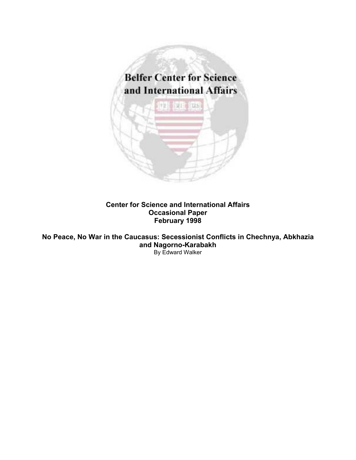

# **Center for Science and International Affairs Occasional Paper February 1998**

**No Peace, No War in the Caucasus: Secessionist Conflicts in Chechnya, Abkhazia and Nagorno-Karabakh**  By Edward Walker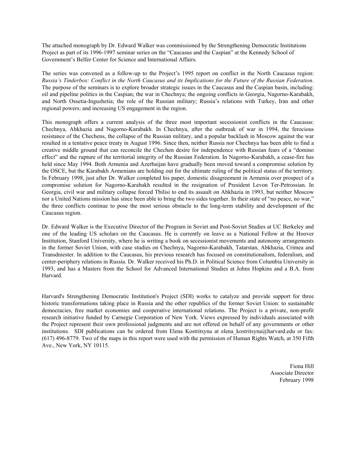The attached monograph by Dr. Edward Walker was commissioned by the Strengthening Democratic Institutions Project as part of its 1996-1997 seminar series on the "Caucasus and the Caspian" at the Kennedy School of Government's Belfer Center for Science and International Affairs.

The series was convened as a follow-up to the Project's 1995 report on conflict in the North Caucasus region: *Russia's Tinderbox: Conflict in the North Caucasus and its Implications for the Future of the Russian Federation*. The purpose of the seminars is to explore broader strategic issues in the Caucasus and the Caspian basin, including: oil and pipeline politics in the Caspian; the war in Chechnya; the ongoing conflicts in Georgia, Nagorno-Karabakh, and North Ossetia-Ingushetia; the role of the Russian military; Russia's relations with Turkey, Iran and other regional powers; and increasing US engagement in the region.

This monograph offers a current analysis of the three most important secessionist conflicts in the Caucasus: Chechnya, Abkhazia and Nagorno-Karabakh. In Chechnya, after the outbreak of war in 1994, the ferocious resistance of the Chechens, the collapse of the Russian military, and a popular backlash in Moscow against the war resulted in a tentative peace treaty in August 1996. Since then, neither Russia nor Chechnya has been able to find a creative middle ground that can reconcile the Chechen desire for independence with Russian fears of a "domino effect" and the rupture of the territorial integrity of the Russian Federation. In Nagorno-Karabakh, a cease-fire has held since May 1994. Both Armenia and Azerbaijan have gradually been moved toward a compromise solution by the OSCE, but the Karabakh Armenians are holding out for the ultimate ruling of the political status of the territory. In February 1998, just after Dr. Walker completed his paper, domestic disagreement in Armenia over prospect of a compromise solution for Nagorno-Karabakh resulted in the resignation of President Levon Ter-Petrossian. In Georgia, civil war and military collapse forced Tbilisi to end its assault on Abkhazia in 1993, but neither Moscow nor a United Nations mission has since been able to bring the two sides together. In their state of "no peace, no war," the three conflicts continue to pose the most serious obstacle to the long-term stability and development of the Caucasus region.

Dr. Edward Walker is the Executive Director of the Program in Soviet and Post-Soviet Studies at UC Berkeley and one of the leading US scholars on the Caucasus. He is currently on leave as a National Fellow at the Hoover Institution, Stanford University, where he is writing a book on secessionist movements and autonomy arrangements in the former Soviet Union, with case studies on Chechnya, Nagorno-Karabakh, Tatarstan, Abkhazia, Crimea and Transdniester. In addition to the Caucasus, his previous research has focused on constitutionalism, federalism, and center-periphery relations in Russia. Dr. Walker received his Ph.D. in Political Science from Columbia University in 1993, and has a Masters from the School for Advanced International Studies at Johns Hopkins and a B.A. from Harvard.

Harvard's Strengthening Democratic Institution's Project (SDI) works to catalyze and provide support for three historic transformations taking place in Russia and the other republics of the former Soviet Union: to sustainable democracies, free market economies and cooperative international relations. The Project is a private, non-profit research initiative funded by Carnegie Corporation of New York. Views expressed by individuals associated with the Project represent their own professional judgments and are not offered on behalf of any governments or other institutions. SDI publications can be ordered from Elena Kostritsyna at elena kostritsyna@harvard.edu or fax: (617) 496-8779. Two of the maps in this report were used with the permission of Human Rights Watch, at 350 Fifth Ave., New York, NY 10115.

> Fiona Hill Associate Director February 1998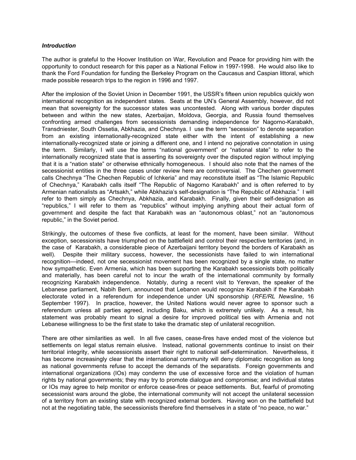### *Introduction*

The author is grateful to the Hoover Institution on War, Revolution and Peace for providing him with the opportunity to conduct research for this paper as a National Fellow in 1997-1998. He would also like to thank the Ford Foundation for funding the Berkeley Program on the Caucasus and Caspian littoral, which made possible research trips to the region in 1996 and 1997.

After the implosion of the Soviet Union in December 1991, the USSR's fifteen union republics quickly won international recognition as independent states. Seats at the UN's General Assembly, however, did not mean that sovereignty for the successor states was uncontested. Along with various border disputes between and within the new states, Azerbaijan, Moldova, Georgia, and Russia found themselves confronting armed challenges from secessionists demanding independence for Nagorno-Karabakh, Transdniester, South Ossetia, Abkhazia, and Chechnya. I use the term "secession" to denote separation from an existing internationally-recognized state either with the intent of establishing a new internationally-recognized state or joining a different one, and I intend no pejorative connotation in using the term. Similarly, I will use the terms "national government" or "national state" to refer to the internationally recognized state that is asserting its sovereignty over the disputed region without implying that it is a "nation state" or otherwise ethnically homogeneous. I should also note that the names of the secessionist entities in the three cases under review here are controversial. The Chechen government calls Chechnya "The Chechen Republic of Ichkeria" and may reconstitute itself as "The Islamic Republic of Chechnya," Karabakh calls itself "The Republic of Nagorno Karabakh" and is often referred to by Armenian nationalists as "Artsakh," while Abkhazia's self-designation is "The Republic of Abkhazia." I will refer to them simply as Chechnya, Abkhazia, and Karabakh. Finally, given their self-designation as "republics," I will refer to them as "republics" without implying anything about their actual form of government and despite the fact that Karabakh was an "autonomous oblast," not an "autonomous republic," in the Soviet period.

Strikingly, the outcomes of these five conflicts, at least for the moment, have been similar. Without exception, secessionists have triumphed on the battlefield and control their respective territories (and, in the case of Karabakh, a considerable piece of Azerbaijani territory beyond the borders of Karabakh as well). Despite their military success, however, the secessionists have failed to win international recognition—indeed, not one secessionist movement has been recognized by a single state, no matter how sympathetic. Even Armenia, which has been supporting the Karabakh secessionists both politically and materially, has been careful not to incur the wrath of the international community by formally recognizing Karabakh independence. Notably, during a recent visit to Yerevan, the speaker of the Lebanese parliament, Nabih Berri, announced that Lebanon would recognize Karabakh if the Karabakh electorate voted in a referendum for independence under UN sponsorship (*RFE/RL Newsline*, 16 September 1997). In practice, however, the United Nations would never agree to sponsor such a referendum unless all parties agreed, including Baku, which is extremely unlikely. As a result, his statement was probably meant to signal a desire for improved political ties with Armenia and not Lebanese willingness to be the first state to take the dramatic step of unilateral recognition.

There are other similarities as well. In all five cases, cease-fires have ended most of the violence but settlements on legal status remain elusive. Instead, national governments continue to insist on their territorial integrity, while secessionists assert their right to national self-determination. Nevertheless, it has become increasingly clear that the international community will deny diplomatic recognition as long as national governments refuse to accept the demands of the separatists. Foreign governments and international organizations (IOs) may condemn the use of excessive force and the violation of human rights by national governments; they may try to promote dialogue and compromise; and individual states or IOs may agree to help monitor or enforce cease-fires or peace settlements. But, fearful of promoting secessionist wars around the globe, the international community will not accept the unilateral secession of a territory from an existing state with recognized external borders. Having won on the battlefield but not at the negotiating table, the secessionists therefore find themselves in a state of "no peace, no war."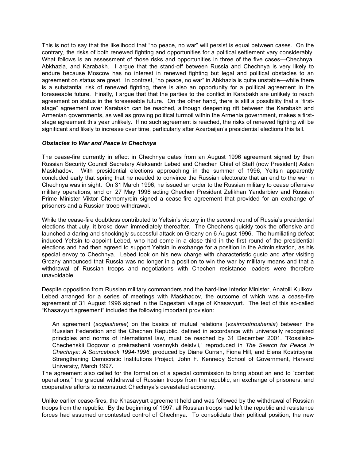This is not to say that the likelihood that "no peace, no war" will persist is equal between cases. On the contrary, the risks of both renewed fighting and opportunities for a political settlement vary considerably. What follows is an assessment of those risks and opportunities in three of the five cases—Chechnya, Abkhazia, and Karabakh. I argue that the stand-off between Russia and Chechnya is very likely to endure because Moscow has no interest in renewed fighting but legal and political obstacles to an agreement on status are great. In contrast, "no peace, no war" in Abkhazia is quite unstable—while there is a substantial risk of renewed fighting, there is also an opportunity for a political agreement in the foreseeable future. Finally, I argue that that the parties to the conflict in Karabakh are unlikely to reach agreement on status in the foreseeable future. On the other hand, there is still a possibility that a "firststage" agreement over Karabakh can be reached, although deepening rift between the Karabakh and Armenian governments, as well as growing political turmoil within the Armenia government, makes a firststage agreement this year unlikely. If no such agreement is reached, the risks of renewed fighting will be significant and likely to increase over time, particularly after Azerbaijan's presidential elections this fall.

## *Obstacles to War and Peace in Chechnya*

The cease-fire currently in effect in Chechnya dates from an August 1996 agreement signed by then Russian Security Council Secretary Aleksandr Lebed and Chechen Chief of Staff (now President) Aslan Maskhadov. With presidential elections approaching in the summer of 1996, Yeltsin apparently concluded early that spring that he needed to convince the Russian electorate that an end to the war in Chechnya was in sight. On 31 March 1996, he issued an order to the Russian military to cease offensive military operations, and on 27 May 1996 acting Chechen President Zelikhan Yandarbiev and Russian Prime Minister Viktor Chernomyrdin signed a cease-fire agreement that provided for an exchange of prisoners and a Russian troop withdrawal.

While the cease-fire doubtless contributed to Yeltsin's victory in the second round of Russia's presidential elections that July, it broke down immediately thereafter. The Chechens quickly took the offensive and launched a daring and shockingly successful attack on Grozny on 6 August 1996. The humiliating defeat induced Yeltsin to appoint Lebed, who had come in a close third in the first round of the presidential elections and had then agreed to support Yeltsin in exchange for a position in the Administration, as his special envoy to Chechnya. Lebed took on his new charge with characteristic gusto and after visiting Grozny announced that Russia was no longer in a position to win the war by military means and that a withdrawal of Russian troops and negotiations with Chechen resistance leaders were therefore unavoidable.

Despite opposition from Russian military commanders and the hard-line Interior Minister, Anatolii Kulikov, Lebed arranged for a series of meetings with Maskhadov, the outcome of which was a cease-fire agreement of 31 August 1996 signed in the Dagestani village of Khasavyurt. The text of this so-called "Khasavyurt agreement" included the following important provision:

An agreement (*soglashenie*) on the basics of mutual relations (*vzaimootnosheniia*) between the Russian Federation and the Chechen Republic, defined in accordance with universally recognized principles and norms of international law, must be reached by 31 December 2001. "Rossiisko-Chechenskii Dogovor o prekrashenii voennykh deistvii," reproduced in *The Search for Peace in Chechnya: A Sourcebook 1994-1996*, produced by Diane Curran, Fiona Hill, and Elena Kostritsyna, Strengthening Democratic Institutions Project, John F. Kennedy School of Government, Harvard University, March 1997.

The agreement also called for the formation of a special commission to bring about an end to "combat operations," the gradual withdrawal of Russian troops from the republic, an exchange of prisoners, and cooperative efforts to reconstruct Chechnya's devastated economy.

Unlike earlier cease-fires, the Khasavyurt agreement held and was followed by the withdrawal of Russian troops from the republic. By the beginning of 1997, all Russian troops had left the republic and resistance forces had assumed uncontested control of Chechnya. To consolidate their political position, the new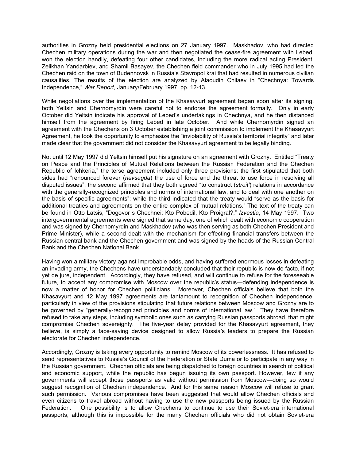authorities in Grozny held presidential elections on 27 January 1997. Maskhadov, who had directed Chechen military operations during the war and then negotiated the cease-fire agreement with Lebed, won the election handily, defeating four other candidates, including the more radical acting President, Zelikhan Yandarbiev, and Shamil Basayev, the Chechen field commander who in July 1995 had led the Chechen raid on the town of Budennovsk in Russia's Stavropol krai that had resulted in numerous civilian causalities. The results of the election are analyzed by Alaoudin Chilaev in "Chechnya: Towards Independence," *War Report*, January/February 1997, pp. 12-13.

While negotiations over the implementation of the Khasavyurt agreement began soon after its signing, both Yeltsin and Chernomyrdin were careful not to endorse the agreement formally. Only in early October did Yeltsin indicate his approval of Lebed's undertakings in Chechnya, and he then distanced himself from the agreement by firing Lebed in late October. And while Chernomyrdin signed an agreement with the Chechens on 3 October establishing a joint commission to implement the Khasavyurt Agreement, he took the opportunity to emphasize the "inviolability of Russia's territorial integrity" and later made clear that the government did not consider the Khasavyurt agreement to be legally binding.

Not until 12 May 1997 did Yeltsin himself put his signature on an agreement with Grozny. Entitled "Treaty on Peace and the Principles of Mutual Relations between the Russian Federation and the Chechen Republic of Ichkeria," the terse agreement included only three provisions: the first stipulated that both sides had "renounced forever (*navsegda*) the use of force and the threat to use force in resolving all disputed issues"; the second affirmed that they both agreed "to construct (*stroit'*) relations in accordance with the generally-recognized principles and norms of international law, and to deal with one another on the basis of specific agreements"; while the third indicated that the treaty would "serve as the basis for additional treaties and agreements on the entire complex of mutual relations." The text of the treaty can be found in Otto Latsis, "Dogovor s Chechnei: Kto Pobedil, Kto Proigral?," *Izvestia*, 14 May 1997. Two intergovernmental agreements were signed that same day, one of which dealt with economic cooperation and was signed by Chernomyrdin and Maskhadov (who was then serving as both Chechen President and Prime Minister), while a second dealt with the mechanism for effecting financial transfers between the Russian central bank and the Chechen government and was signed by the heads of the Russian Central Bank and the Chechen National Bank.

Having won a military victory against improbable odds, and having suffered enormous losses in defeating an invading army, the Chechens have understandably concluded that their republic is now de facto, if not yet de jure, independent. Accordingly, they have refused, and will continue to refuse for the foreseeable future, to accept any compromise with Moscow over the republic's status—defending independence is now a matter of honor for Chechen politicians. Moreover, Chechen officials believe that both the Khasavyurt and 12 May 1997 agreements are tantamount to recognition of Chechen independence, particularly in view of the provisions stipulating that future relations between Moscow and Grozny are to be governed by "generally-recognized principles and norms of international law." They have therefore refused to take any steps, including symbolic ones such as carrying Russian passports abroad, that might compromise Chechen sovereignty. The five-year delay provided for the Khasavyurt agreement, they believe, is simply a face-saving device designed to allow Russia's leaders to prepare the Russian electorate for Chechen independence.

Accordingly, Grozny is taking every opportunity to remind Moscow of its powerlessness. It has refused to send representatives to Russia's Council of the Federation or State Duma or to participate in any way in the Russian government. Chechen officials are being dispatched to foreign countries in search of political and economic support, while the republic has begun issuing its own passport. However, few if any governments will accept those passports as valid without permission from Moscow—doing so would suggest recognition of Chechen independence. And for this same reason Moscow will refuse to grant such permission. Various compromises have been suggested that would allow Chechen officials and even citizens to travel abroad without having to use the new passports being issued by the Russian Federation. One possibility is to allow Chechens to continue to use their Soviet-era international passports, although this is impossible for the many Chechen officials who did not obtain Soviet-era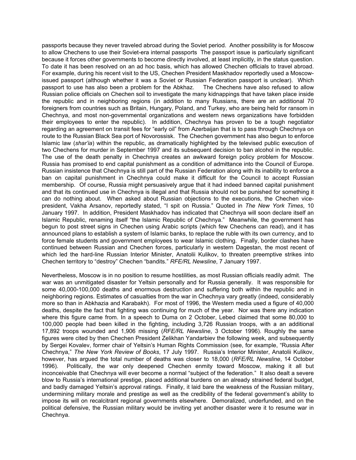passports because they never traveled abroad during the Soviet period. Another possibility is for Moscow to allow Chechens to use their Soviet-era internal passports The passport issue is particularly significant because it forces other governments to become directly involved, at least implicitly, in the status question. To date it has been resolved on an ad hoc basis, which has allowed Chechen officials to travel abroad. For example, during his recent visit to the US, Chechen President Maskhadov reportedly used a Moscowissued passport (although whether it was a Soviet or Russian Federation passport is unclear). Which passport to use has also been a problem for the Abkhaz. The Chechens have also refused to allow Russian police officials on Chechen soil to investigate the many kidnappings that have taken place inside the republic and in neighboring regions (in addition to many Russians, there are an additional 70 foreigners from countries such as Britain, Hungary, Poland, and Turkey, who are being held for ransom in Chechnya, and most non-governmental organizations and western news organizations have forbidden their employees to enter the republic). In addition, Chechnya has proven to be a tough negotiator regarding an agreement on transit fees for "early oil" from Azerbaijan that is to pass through Chechnya on route to the Russian Black Sea port of Novorossisk. The Chechen government has also begun to enforce Islamic law (*shar'ia*) within the republic, as dramatically highlighted by the televised public execution of two Chechens for murder in September 1997 and its subsequent decision to ban alcohol in the republic. The use of the death penalty in Chechnya creates an awkward foreign policy problem for Moscow. Russia has promised to end capital punishment as a condition of admittance into the Council of Europe. Russian insistence that Chechnya is still part of the Russian Federation along with its inability to enforce a ban on capital punishment in Chechnya could make it difficult for the Council to accept Russian membership. Of course, Russia might persuasively argue that it had indeed banned capital punishment and that its continued use in Chechnya is illegal and that Russia should not be punished for something it can do nothing about. When asked about Russian objections to the executions, the Chechen vicepresident, Vakha Arsanov, reportedly stated, "I spit on Russia." Quoted in *The New York Times*, 10 January 1997. In addition, President Maskhadov has indicated that Chechnya will soon declare itself an Islamic Republic, renaming itself "the Islamic Republic of Chechnya." Meanwhile, the government has begun to post street signs in Chechen using Arabic scripts (which few Chechens can read), and it has announced plans to establish a system of Islamic banks, to replace the ruble with its own currency, and to force female students and government employees to wear Islamic clothing. Finally, border clashes have continued between Russian and Chechen forces, particularly in western Dagestan, the most recent of which led the hard-line Russian Interior Minister, Anatolii Kulikov, to threaten preemptive strikes into Chechen territory to "destroy" Chechen "bandits." *RFE/RL Newsline*, 7 January 1997.

Nevertheless, Moscow is in no position to resume hostilities, as most Russian officials readily admit. The war was an unmitigated disaster for Yeltsin personally and for Russia generally. It was responsible for some 40,000-100,000 deaths and enormous destruction and suffering both within the republic and in neighboring regions. Estimates of casualties from the war in Chechnya vary greatly (indeed, considerably more so than in Abkhazia and Karabakh). For most of 1996, the Western media used a figure of 40,000 deaths, despite the fact that fighting was continuing for much of the year. Nor was there any indication where this figure came from. In a speech to Duma on 2 October, Lebed claimed that some 80,000 to 100,000 people had been killed in the fighting, including 3,726 Russian troops, with a an additional 17,892 troops wounded and 1,906 missing (*RFE/RL Newsline*, 3 October 1996). Roughly the same figures were cited by then Chechen President Zelikhan Yandarbiev the following week, and subsequently by Sergei Kovalev, former chair of Yeltsin's Human Rights Commission (see, for example, "Russia After Chechnya," *The New York Review of Books*, 17 July 1997. Russia's Interior Minister, Anatolii Kulikov, however, has argued the total number of deaths was closer to 18,000 (*RFE/RL Newsline*, 14 October 1996). Politically, the war only deepened Chechen enmity toward Moscow, making it all but inconceivable that Chechnya will ever become a normal "subject of the federation." It also dealt a severe blow to Russia's international prestige, placed additional burdens on an already strained federal budget, and badly damaged Yeltsin's approval ratings. Finally, it laid bare the weakness of the Russian military, undermining military morale and prestige as well as the credibility of the federal government's ability to impose its will on recalcitrant regional governments elsewhere. Demoralized, underfunded, and on the political defensive, the Russian military would be inviting yet another disaster were it to resume war in Chechnya.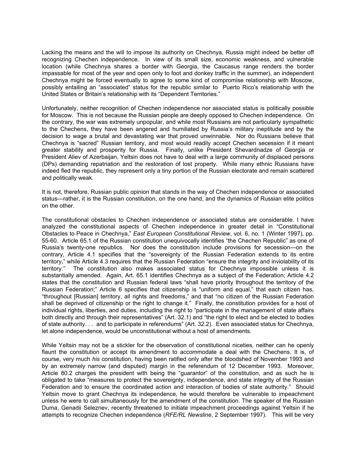Lacking the means and the will to impose its authority on Chechnya, Russia might indeed be better off recognizing Chechen independence. In view of its small size, economic weakness, and vulnerable location (while Chechnya shares a border with Georgia, the Caucasus range renders the border impassable for most of the year and open only to foot and donkey traffic in the summer), an independent Chechnya might be forced eventually to agree to some kind of compromise relationship with Moscow, possibly entailing an "associated" status for the republic similar to Puerto Rico's relationship with the United States or Britain's relationship with its "Dependent Territories."

Unfortunately, neither recognition of Chechen independence nor associated status is politically possible for Moscow. This is not because the Russian people are deeply opposed to Chechen independence. On the contrary, the war was extremely unpopular, and while most Russians are not particularly sympathetic to the Chechens, they have been angered and humiliated by Russia's military ineptitude and by the decision to wage a brutal and devastating war that proved unwinnable. Nor do Russians believe that Chechnya is "sacred" Russian territory, and most would readily accept Chechen secession if it meant greater stability and prosperity for Russia. Finally, unlike President Shevardnadze of Georgia or President Aliev of Azerbaijan, Yeltsin does not have to deal with a large community of displaced persons (DPs) demanding repatriation and the restoration of lost property. While many ethnic Russians have indeed fled the republic, they represent only a tiny portion of the Russian electorate and remain scattered and politically weak.

It is not, therefore, Russian public opinion that stands in the way of Chechen independence or associated status—rather, it is the Russian constitution, on the one hand, and the dynamics of Russian elite politics on the other.

The constitutional obstacles to Chechen independence or associated status are considerable. I have analyzed the constitutional aspects of Chechen independence in greater detail in "Constitutional Obstacles to Peace in Chechnya," *East European Constitutional Review*, vol. 6, no. 1 (Winter 1997), pp. 55-60. Article 65.1 of the Russian constitution unequivocally identifies "the Chechen Republic" as one of Russia's twenty-one republics. Nor does the constitution include provisions for secession—on the contrary, Article 4.1 specifies that the "sovereignty of the Russian Federation extends to its entire territory," while Article 4.3 requires that the Russian Federation "ensure the integrity and inviolability of its territory." The constitution also makes associated status for Chechnya impossible unless it is substantially amended. Again, Art. 65.1 identifies Chechnya as a subject of the Federation; Article 4.2 states that the constitution and Russian federal laws "shall have priority throughout the territory of the Russian Federation;" Article 6 specifies that citizenship is "uniform and equal," that each citizen has, "throughout [Russian] territory, all rights and freedoms," and that "no citizen of the Russian Federation shall be deprived of citizenship or the right to change it." Finally, the constitution provides for a host of individual rights, liberties, and duties, including the right to "participate in the management of state affairs both directly and through their representatives" (Art. 32.1) and "the right to elect and be elected to bodies of state authority. . . and to participate in referendums" (Art. 32.2). Even associated status for Chechnya, let alone independence, would be unconstitutional without a host of amendments.

While Yeltsin may not be a stickler for the observation of constitutional niceties, neither can he openly flaunt the constitution or accept its amendment to accommodate a deal with the Chechens. It is, of course, very much *his* constitution, having been ratified only after the bloodshed of November 1993 and by an extremely narrow (and disputed) margin in the referendum of 12 December 1993. Moreover, Article 80.2 charges the president with being the "guarantor" of the constitution, and as such he is obligated to take "measures to protect the sovereignty, independence, and state integrity of the Russian Federation and to ensure the coordinated action and interaction of bodies of state authority." Should Yeltsin move to grant Chechnya its independence, he would therefore be vulnerable to impeachment unless he were to call simultaneously for the amendment of the constitution. The speaker of the Russian Duma, Genadii Seleznev, recently threatened to initiate impeachment proceedings against Yeltsin if he attempts to recognize Chechen independence (*RFE/RL Newsline*, 2 September 1997). This will be very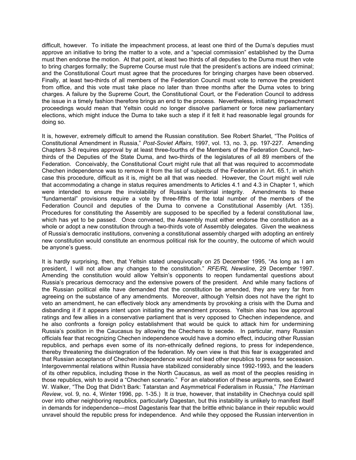difficult, however. To initiate the impeachment process, at least one third of the Duma's deputies must approve an initiative to bring the matter to a vote, and a "special commission" established by the Duma must then endorse the motion. At that point, at least two thirds of all deputies to the Duma must then vote to bring charges formally; the Supreme Course must rule that the president's actions are indeed criminal; and the Constitutional Court must agree that the procedures for bringing charges have been observed. Finally, at least two-thirds of all members of the Federation Council must vote to remove the president from office, and this vote must take place no later than three months after the Duma votes to bring charges. A failure by the Supreme Court, the Constitutional Court, or the Federation Council to address the issue in a timely fashion therefore brings an end to the process. Nevertheless, initiating impeachment proceedings would mean that Yeltsin could no longer dissolve parliament or force new parliamentary elections, which might induce the Duma to take such a step if it felt it had reasonable legal grounds for doing so.

It is, however, extremely difficult to amend the Russian constitution. See Robert Sharlet, "The Politics of Constitutional Amendment in Russia," *Post-Soviet Affairs*, 1997, vol. 13, no. 3, pp. 197-227. Amending Chapters 3-8 requires approval by at least three-fourths of the Members of the Federation Council, twothirds of the Deputies of the State Duma, and two-thirds of the legislatures of all 89 members of the Federation. Conceivably, the Constitutional Court might rule that all that was required to accommodate Chechen independence was to remove it from the list of subjects of the Federation in Art. 65.1, in which case this procedure, difficult as it is, might be all that was needed. However, the Court might well rule that accommodating a change in status requires amendments to Articles 4.1 and 4.3 in Chapter 1, which were intended to ensure the inviolability of Russia's territorial integrity. Amendments to these "fundamental" provisions require a vote by three-fifths of the total number of the members of the Federation Council and deputies of the Duma to convene a Constitutional Assembly (Art. 135). Procedures for constituting the Assembly are supposed to be specified by a federal constitutional law, which has yet to be passed. Once convened, the Assembly must either endorse the constitution as a whole or adopt a new constitution through a two-thirds vote of Assembly delegates. Given the weakness of Russia's democratic institutions, convening a constitutional assembly charged with adopting an entirely new constitution would constitute an enormous political risk for the country, the outcome of which would be anyone's guess.

It is hardly surprising, then, that Yeltsin stated unequivocally on 25 December 1995, "As long as I am president, I will not allow any changes to the constitution." *RFE/RL Newsline*, 29 December 1997. Amending the constitution would allow Yeltsin's opponents to reopen fundamental questions about Russia's precarious democracy and the extensive powers of the president. And while many factions of the Russian political elite have demanded that the constitution be amended, they are very far from agreeing on the substance of any amendments. Moreover, although Yeltsin does not have the right to veto an amendment, he can effectively block any amendments by provoking a crisis with the Duma and disbanding it if it appears intent upon initiating the amendment process. Yeltsin also has low approval ratings and few allies in a conservative parliament that is very opposed to Chechen independence, and he also confronts a foreign policy establishment that would be quick to attack him for undermining Russia's position in the Caucasus by allowing the Chechens to secede. In particular, many Russian officials fear that recognizing Chechen independence would have a domino effect, inducing other Russian republics, and perhaps even some of its non-ethnically defined regions, to press for independence, thereby threatening the disintegration of the federation. My own view is that this fear is exaggerated and that Russian acceptance of Chechen independence would not lead other republics to press for secession. Intergovernmental relations within Russia have stabilized considerably since 1992-1993, and the leaders of its other republics, including those in the North Caucasus, as well as most of the peoples residing in those republics, wish to avoid a "Chechen scenario." For an elaboration of these arguments, see Edward W. Walker, "The Dog that Didn't Bark: Tatarstan and Asymmetrical Federalism in Russia," *The Harriman Review*, vol. 9, no. 4, Winter 1996, pp. 1-35.) It *is* true, however, that instability in Chechnya could spill over into other neighboring republics, particularly Dagestan, but this instability is unlikely to manifest itself in demands for independence—most Dagestanis fear that the brittle ethnic balance in their republic would unravel should the republic press for independence. And while they opposed the Russian intervention in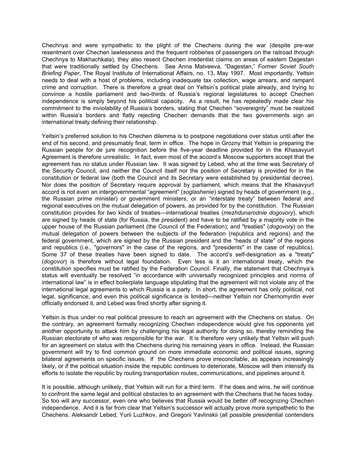Chechnya and were sympathetic to the plight of the Chechens during the war (despite pre-war resentment over Chechen lawlessness and the frequent robberies of passengers on the railroad through Chechnya to Makhachkala), they also resent Chechen irredentist claims on areas of eastern Dagestan that were traditionally settled by Chechens. See Anna Matveeva, "Dagestan," *Former Soviet South Briefing Paper*, The Royal Institute of International Affairs, no. 13, May 1997. Most importantly, Yeltsin needs to deal with a host of problems, including inadequate tax collection, wage arrears, and rampant crime and corruption. There is therefore a great deal on Yeltsin's political plate already, and trying to convince a hostile parliament and two-thirds of Russia's regional legislatures to accept Chechen independence is simply beyond his political capacity. As a result, he has repeatedly made clear his commitment to the inviolability of Russia's borders, stating that Chechen "sovereignty" must be realized within Russia's borders and flatly rejecting Chechen demands that the two governments sign an international treaty defining their relationship.

Yeltsin's preferred solution to his Chechen dilemma is to postpone negotiations over status until after the end of his second, and presumably final, term in office. The hope in Grozny that Yeltsin is preparing the Russian people for de jure recognition before the five-year deadline provided for in the Khasavyurt Agreement is therefore unrealistic. In fact, even most of the accord's Moscow supporters accept that the agreement has no status under Russian law. It was signed by Lebed, who at the time was Secretary of the Security Council, and neither the Council itself nor the position of Secretary is provided for in the constitution or federal law (both the Council and its Secretary were established by presidential decree). Nor does the position of Secretary require approval by parliament, which means that the Khasavyurt accord is not even an intergovernmental "agreement" (*soglashenie*) signed by heads of government (e.g., the Russian prime minister) or government ministers, or an "interstate treaty" between federal and regional executives on the mutual delegation of powers, as provided for by the constitution. The Russian constitution provides for two kinds of treaties—international treaties (*mezhdunarodnie dogovory*), which are signed by heads of state (for Russia, the president) and have to be ratified by a majority vote in the upper house of the Russian parliament (the Council of the Federation); and "treaties" (*dogovory*) on the mutual delegation of powers between the subjects of the federation (republics and regions) and the federal government, which are signed by the Russian president and the "heads of state" of the regions and republics (i.e., "governors" in the case of the regions, and "presidents" in the case of republics). Some 37 of these treaties have been signed to date. The accord's self-designation as a "treaty" (*dogovor*) is therefore without legal foundation. Even less is it an international treaty, which the constitution specifies must be ratified by the Federation Council. Finally, the statement that Chechnya's status will eventually be resolved "in accordance with universally recognized principles and norms of international law" is in effect boilerplate language stipulating that the agreement will not violate any of the international legal agreements to which Russia is a party. In short, the agreement has only political, not legal, significance, and even this political significance is limited—neither Yeltsin nor Chernomyrdin ever officially endorsed it, and Lebed was fired shortly after signing it.

Yeltsin is thus under no real political pressure to reach an agreement with the Chechens on status. On the contrary, an agreement formally recognizing Chechen independence would give his opponents yet another opportunity to attack him by challenging his legal authority for doing so, thereby reminding the Russian electorate of who was responsible for the war. It is therefore very unlikely that Yeltsin will push for an agreement on status with the Chechens during his remaining years in office. Instead, the Russian government will try to find common ground on more immediate economic and political issues, signing bilateral agreements on specific issues. If the Chechens prove irreconcilable, as appears increasingly likely, or if the political situation inside the republic continues to deteriorate, Moscow will then intensify its efforts to isolate the republic by routing transportation routes, communications, and pipelines around it.

It is possible, although unlikely, that Yeltsin will run for a third term. If he does and wins, he will continue to confront the same legal and political obstacles to an agreement with the Chechens that he faces today. So too will any successor, even one who believes that Russia would be better off recognizing Chechen independence. And it is far from clear that Yeltsin's successor will actually prove more sympathetic to the Chechens. Aleksandr Lebed, Yurii Luzhkov, and Gregorii Yavlinskii (all possible presidential contenders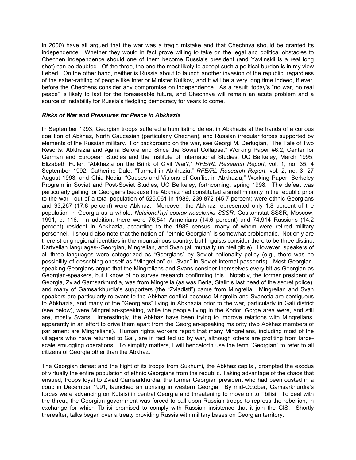in 2000) have all argued that the war was a tragic mistake and that Chechnya should be granted its independence. Whether they would in fact prove willing to take on the legal and political obstacles to Chechen independence should one of them become Russia's president (and Yavlinskii is a real long shot) can be doubted. Of the three, the one the most likely to accept such a political burden is in my view Lebed. On the other hand, neither is Russia about to launch another invasion of the republic, regardless of the saber-rattling of people like Interior Minister Kulikov, and it will be a very long time indeed, if ever, before the Chechens consider any compromise on independence. As a result, today's "no war, no real peace" is likely to last for the foreseeable future, and Chechnya will remain an acute problem and a source of instability for Russia's fledgling democracy for years to come.

## *Risks of War and Pressures for Peace in Abkhazia*

In September 1993, Georgian troops suffered a humiliating defeat in Abkhazia at the hands of a curious coalition of Abkhaz, North Caucasian (particularly Chechen), and Russian irregular forces supported by elements of the Russian military. For background on the war, see Georgi M. Derlugian, "The Tale of Two Resorts: Abkhazia and Ajaria Before and Since the Soviet Collapse," Working Paper #6.2, Center for German and European Studies and the Institute of International Studies, UC Berkeley, March 1995; Elizabeth Fuller, "Abkhazia on the Brink of Civil War?," *RFE/RL Research Report*, vol. 1, no. 35, 4 September 1992; Catherine Dale, "Turmoil in Abkhazia," *RFE/RL Research Report*, vol. 2, no. 3, 27 August 1993; and Ghia Nodia, "Causes and Visions of Conflict in Abkhazia," Working Paper, Berkeley Program in Soviet and Post-Soviet Studies, UC Berkeley, forthcoming, spring 1998. The defeat was particularly galling for Georgians because the Abkhaz had constituted a small minority in the republic prior to the war—out of a total population of 525,061 in 1989, 239,872 (45.7 percent) were ethnic Georgians and 93,267 (17.8 percent) were Abkhaz. Moreover, the Abkhaz represented only 1.8 percent of the population in Georgia as a whole. *Natsional'nyi sostav naseleniia SSSR*, Goskomstat SSSR, Moscow, 1991, p. 116. In addition, there were 76,541 Armenians (14.6 percent) and 74,914 Russians (14.2 percent) resident in Abkhazia, according to the 1989 census, many of whom were retired military personnel. I should also note that the notion of "ethnic Georgian" is somewhat problematic. Not only are there strong regional identities in the mountainous country, but linguists consider there to be three distinct Kartvelian languages--Georgian, Mingrelian, and Svan (all mutually unintelligible). However, speakers of all three languages were categorized as "Georgians" by Soviet nationality policy (e.g., there was no possibility of describing oneself as "Mingrelian" or "Svan" in Soviet internal passports). Most Georgianspeaking Georgians argue that the Mingrelians and Svans consider themselves every bit as Georgian as Georgian-speakers, but I know of no survey research confirming this. Notably, the former president of Georgia, Zviad Gamsarkhurdia, was from Mingrelia (as was Beria, Stalin's last head of the secret police), and many of Gamsarkhurdia's supporters (the "Zviadisti") came from Mingrelia. Mingrelian and Svan speakers are particularly relevant to the Abkhaz conflict because Mingrelia and Svanetia are contiguous to Abkhazia, and many of the "Georgians" living in Abkhazia prior to the war, particularly in Gali district (see below), were Mingrelian-speaking, while the people living in the Kodori Gorge area were, and still are, mostly Svans. Interestingly, the Abkhaz have been trying to improve relations with Mingrelians, apparently in an effort to drive them apart from the Georgian-speaking majority (two Abkhaz members of parliament are Mingrelians). Human rights workers report that many Mingrelians, including most of the villagers who have returned to Gali, are in fact fed up by war, although others are profiting from largescale smuggling operations. To simplify matters, I will henceforth use the term "Georgian" to refer to all citizens of Georgia other than the Abkhaz.

The Georgian defeat and the flight of its troops from Sukhumi, the Abkhaz capital, prompted the exodus of virtually the entire population of ethnic Georgians from the republic. Taking advantage of the chaos that ensued, troops loyal to Zviad Gamsarkhurdia, the former Georgian president who had been ousted in a coup in December 1991, launched an uprising in western Georgia. By mid-October, Gamsarkhurdia's forces were advancing on Kutaisi in central Georgia and threatening to move on to Tbilisi. To deal with the threat, the Georgian government was forced to call upon Russian troops to repress the rebellion, in exchange for which Tbilisi promised to comply with Russian insistence that it join the CIS. Shortly thereafter, talks began over a treaty providing Russia with military bases on Georgian territory.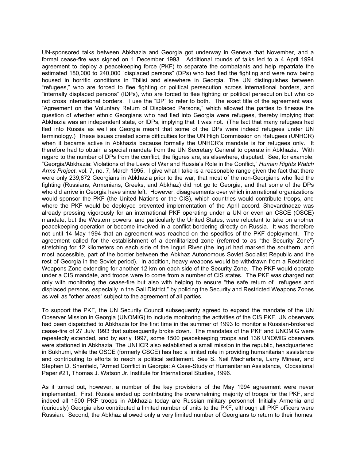UN-sponsored talks between Abkhazia and Georgia got underway in Geneva that November, and a formal cease-fire was signed on 1 December 1993. Additional rounds of talks led to a 4 April 1994 agreement to deploy a peacekeeping force (PKF) to separate the combatants and help repatriate the estimated 180,000 to 240,000 "displaced persons" (DPs) who had fled the fighting and were now being housed in horrific conditions in Tbilisi and elsewhere in Georgia. The UN distinguishes between "refugees," who are forced to flee fighting or political persecution across international borders, and "internally displaced persons" (IDPs), who are forced to flee fighting or political persecution but who do not cross international borders. I use the "DP" to refer to both. The exact title of the agreement was, "Agreement on the Voluntary Return of Displaced Persons," which allowed the parties to finesse the question of whether ethnic Georgians who had fled into Georgia were refugees, thereby implying that Abkhazia was an independent state, or IDPs, implying that it was not. (The fact that many refugees had fled into Russia as well as Georgia meant that some of the DPs were indeed refugees under UN terminology.) These issues created some difficulties for the UN High Commission on Refugees (UNHCR) when it became active in Abkhazia because formally the UNHCR's mandate is for refugees only. It therefore had to obtain a special mandate from the UN Secretary General to operate in Abkhazia. With regard to the number of DPs from the conflict, the figures are, as elsewhere, disputed. See, for example, "Georgia/Abkhazia: Violations of the Laws of War and Russia's Role in the Conflict," *Human Rights Watch Arms Project*, vol. 7, no. 7, March 1995. I give what I take is a reasonable range given the fact that there were only 239,872 Georgians in Abkhazia prior to the war, that most of the non-Georgians who fled the fighting (Russians, Armenians, Greeks, and Abkhaz) did not go to Georgia, and that some of the DPs who did arrive in Georgia have since left. However, disagreements over which international organizations would sponsor the PKF (the United Nations or the CIS), which countries would contribute troops, and where the PKF would be deployed prevented implementation of the April accord. Shevardnadze was already pressing vigorously for an international PKF operating under a UN or even an CSCE (OSCE) mandate, but the Western powers, and particularly the United States, were reluctant to take on another peacekeeping operation or become involved in a conflict bordering directly on Russia. It was therefore not until 14 May 1994 that an agreement was reached on the specifics of the PKF deployment. The agreement called for the establishment of a demilitarized zone (referred to as "the Security Zone") stretching for 12 kilometers on each side of the Inguri River (the Inguri had marked the southern, and most accessible, part of the border between the Abkhaz Autonomous Soviet Socialist Republic and the rest of Georgia in the Soviet period). In addition, heavy weapons would be withdrawn from a Restricted Weapons Zone extending for another 12 km on each side of the Security Zone. The PKF would operate under a CIS mandate, and troops were to come from a number of CIS states. The PKF was charged not only with monitoring the cease-fire but also with helping to ensure "the safe return of refugees and displaced persons, especially in the Gali District," by policing the Security and Restricted Weapons Zones as well as "other areas" subject to the agreement of all parties.

To support the PKF, the UN Security Council subsequently agreed to expand the mandate of the UN Observer Mission in Georgia (UNOMIG) to include monitoring the activities of the CIS PKF. UN observers had been dispatched to Abkhazia for the first time in the summer of 1993 to monitor a Russian-brokered cease-fire of 27 July 1993 that subsequently broke down. The mandates of the PKF and UNOMIG were repeatedly extended, and by early 1997, some 1500 peacekeeping troops and 136 UNOMIG observers were stationed in Abkhazia. The UNHCR also established a small mission in the republic, headquartered in Sukhumi, while the OSCE (formerly CSCE) has had a limited role in providing humanitarian assistance and contributing to efforts to reach a political settlement. See S. Neil MacFarlane, Larry Minear, and Stephen D. Shenfield, "Armed Conflict in Georgia: A Case-Study of Humanitarian Assistance," Occasional Paper #21, Thomas J. Watson Jr. Institute for International Studies, 1996.

As it turned out, however, a number of the key provisions of the May 1994 agreement were never implemented. First, Russia ended up contributing the overwhelming majority of troops for the PKF, and indeed all 1500 PKF troops in Abkhazia today are Russian military personnel. Initially Armenia and (curiously) Georgia also contributed a limited number of units to the PKF, although all PKF officers were Russian. Second, the Abkhaz allowed only a very limited number of Georgians to return to their homes,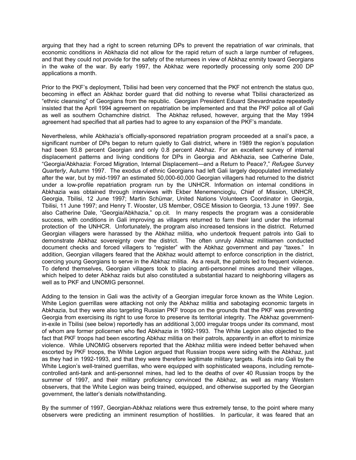arguing that they had a right to screen returning DPs to prevent the repatriation of war criminals, that economic conditions in Abkhazia did not allow for the rapid return of such a large number of refugees, and that they could not provide for the safety of the returnees in view of Abkhaz enmity toward Georgians in the wake of the war. By early 1997, the Abkhaz were reportedly processing only some 200 DP applications a month.

Prior to the PKF's deployment, Tbilisi had been very concerned that the PKF not entrench the status quo, becoming in effect an Abkhaz border guard that did nothing to reverse what Tbilisi characterized as "ethnic cleansing" of Georgians from the republic. Georgian President Eduard Shevardnadze repeatedly insisted that the April 1994 agreement on repatriation be implemented and that the PKF police all of Gali as well as southern Ochamchire district. The Abkhaz refused, however, arguing that the May 1994 agreement had specified that all parties had to agree to any expansion of the PKF's mandate.

Nevertheless, while Abkhazia's officially-sponsored repatriation program proceeded at a snail's pace, a significant number of DPs began to return quietly to Gali district, where in 1989 the region's population had been 93.8 percent Georgian and only 0.8 percent Abkhaz. For an excellent survey of internal displacement patterns and living conditions for DPs in Georgia and Abkhazia, see Catherine Dale, "Georgia/Abkhazia: Forced Migration, Internal Displacement—and a Return to Peace?," *Refugee Survey Quarterly*, Autumn 1997. The exodus of ethnic Georgians had left Gali largely depopulated immediately after the war, but by mid-1997 an estimated 50,000-60,000 Georgian villagers had returned to the district under a low-profile repatriation program run by the UNHCR. Information on internal conditions in Abkhazia was obtained through interviews with Ekber Menemencioglu, Chief of Mission, UNHCR, Georgia, Tbilisi, 12 June 1997; Martin Schümar, United Nations Volunteers Coordinator in Georgia, Tbilisi, 11 June 1997; and Henry T. Wooster, US Member, OSCE Mission to Georgia, 13 June 1997. See also Catherine Dale, "Georgia/Abkhazia," op.cit. In many respects the program was a considerable success, with conditions in Gali improving as villagers returned to farm their land under the informal protection of the UNHCR. Unfortunately, the program also increased tensions in the district. Returned Georgian villagers were harassed by the Abkhaz militia, who undertook frequent patrols into Gali to demonstrate Abkhaz sovereignty over the district. The often unruly Abkhaz militiamen conducted document checks and forced villagers to "register" with the Abkhaz government and pay "taxes." In addition, Georgian villagers feared that the Abkhaz would attempt to enforce conscription in the district, coercing young Georgians to serve in the Abkhaz militia. As a result, the patrols led to frequent violence. To defend themselves, Georgian villagers took to placing anti-personnel mines around their villages, which helped to deter Abkhaz raids but also constituted a substantial hazard to neighboring villagers as well as to PKF and UNOMIG personnel.

Adding to the tension in Gali was the activity of a Georgian irregular force known as the White Legion. White Legion guerrillas were attacking not only the Abkhaz militia and sabotaging economic targets in Abkhazia, but they were also targeting Russian PKF troops on the grounds that the PKF was preventing Georgia from exercising its right to use force to preserve its territorial integrity. The Abkhaz governmentin-exile in Tbilisi (see below) reportedly has an additional 3,000 irregular troops under its command, most of whom are former policemen who fled Abkhazia in 1992-1993. The White Legion also objected to the fact that PKF troops had been escorting Abkhaz militia on their patrols, apparently in an effort to minimize violence. While UNOMIG observers reported that the Abkhaz militia were indeed better behaved when escorted by PKF troops, the White Legion argued that Russian troops were siding with the Abkhaz, just as they had in 1992-1993, and that they were therefore legitimate military targets. Raids into Gali by the White Legion's well-trained guerrillas, who were equipped with sophisticated weapons, including remotecontrolled anti-tank and anti-personnel mines, had led to the deaths of over 40 Russian troops by the summer of 1997, and their military proficiency convinced the Abkhaz, as well as many Western observers, that the White Legion was being trained, equipped, and otherwise supported by the Georgian government, the latter's denials notwithstanding.

By the summer of 1997, Georgian-Abkhaz relations were thus extremely tense, to the point where many observers were predicting an imminent resumption of hostilities. In particular, it was feared that an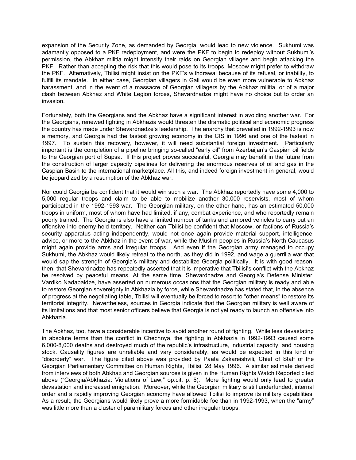expansion of the Security Zone, as demanded by Georgia, would lead to new violence. Sukhumi was adamantly opposed to a PKF redeployment, and were the PKF to begin to redeploy without Sukhumi's permission, the Abkhaz militia might intensify their raids on Georgian villages and begin attacking the PKF. Rather than accepting the risk that this would pose to its troops, Moscow might prefer to withdraw the PKF. Alternatively, Tbilisi might insist on the PKF's withdrawal because of its refusal, or inability, to fulfill its mandate. In either case, Georgian villagers in Gali would be even more vulnerable to Abkhaz harassment, and in the event of a massacre of Georgian villagers by the Abkhaz militia, or of a major clash between Abkhaz and White Legion forces, Shevardnadze might have no choice but to order an invasion.

Fortunately, both the Georgians and the Abkhaz have a significant interest in avoiding another war. For the Georgians, renewed fighting in Abkhazia would threaten the dramatic political and economic progress the country has made under Shevardnadze's leadership. The anarchy that prevailed in 1992-1993 is now a memory, and Georgia had the fastest growing economy in the CIS in 1996 and one of the fastest in 1997. To sustain this recovery, however, it will need substantial foreign investment. Particularly important is the completion of a pipeline bringing so-called "early oil" from Azerbaijan's Caspian oil fields to the Georgian port of Supsa. If this project proves successful, Georgia may benefit in the future from the construction of larger capacity pipelines for delivering the enormous reserves of oil and gas in the Caspian Basin to the international marketplace. All this, and indeed foreign investment in general, would be jeopardized by a resumption of the Abkhaz war.

Nor could Georgia be confident that it would win such a war. The Abkhaz reportedly have some 4,000 to 5,000 regular troops and claim to be able to mobilize another 30,000 reservists, most of whom participated in the 1992-1993 war. The Georgian military, on the other hand, has an estimated 50,000 troops in uniform, most of whom have had limited, if any, combat experience, and who reportedly remain poorly trained. The Georgians also have a limited number of tanks and armored vehicles to carry out an offensive into enemy-held territory. Neither can Tbilisi be confident that Moscow, or factions of Russia's security apparatus acting independently, would not once again provide material support, intelligence, advice, or more to the Abkhaz in the event of war, while the Muslim peoples in Russia's North Caucasus might again provide arms and irregular troops. And even if the Georgian army managed to occupy Sukhumi, the Abkhaz would likely retreat to the north, as they did in 1992, and wage a guerrilla war that would sap the strength of Georgia's military and destabilize Georgia politically. It is with good reason, then, that Shevardnadze has repeatedly asserted that it is imperative that Tbilisi's conflict with the Abkhaz be resolved by peaceful means. At the same time, Shevardnadze and Georgia's Defense Minister, Vardiko Nadabaidze, have asserted on numerous occasions that the Georgian military is ready and able to restore Georgian sovereignty in Abkhazia by force, while Shevardnadze has stated that, in the absence of progress at the negotiating table, Tbilisi will eventually be forced to resort to "other means" to restore its territorial integrity. Nevertheless, sources in Georgia indicate that the Georgian military is well aware of its limitations and that most senior officers believe that Georgia is not yet ready to launch an offensive into Abkhazia.

The Abkhaz, too, have a considerable incentive to avoid another round of fighting. While less devastating in absolute terms than the conflict in Chechnya, the fighting in Abkhazia in 1992-1993 caused some 6,000-8,000 deaths and destroyed much of the republic's infrastructure, industrial capacity, and housing stock. Causality figures are unreliable and vary considerably, as would be expected in this kind of "disorderly" war. The figure cited above was provided by Paata Zakareishvili, Chief of Staff of the Georgian Parliamentary Committee on Human Rights, Tbilisi, 28 May 1996. A similar estimate derived from interviews of both Abkhaz and Georgian sources is given in the Human Rights Watch Reported cited above ("Georgia/Abkhazia: Violations of Law," op.cit, p. 5). More fighting would only lead to greater devastation and increased emigration. Moreover, while the Georgian military is still underfunded, internal order and a rapidly improving Georgian economy have allowed Tbilisi to improve its military capabilities. As a result, the Georgians would likely prove a more formidable foe than in 1992-1993, when the "army" was little more than a cluster of paramilitary forces and other irregular troops.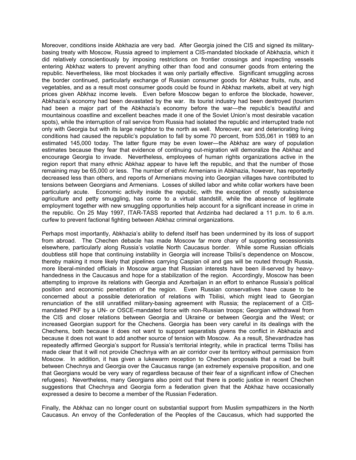Moreover, conditions inside Abkhazia are very bad. After Georgia joined the CIS and signed its militarybasing treaty with Moscow, Russia agreed to implement a CIS-mandated blockade of Abkhazia, which it did relatively conscientiously by imposing restrictions on frontier crossings and inspecting vessels entering Abkhaz waters to prevent anything other than food and consumer goods from entering the republic. Nevertheless, like most blockades it was only partially effective. Significant smuggling across the border continued, particularly exchange of Russian consumer goods for Abkhaz fruits, nuts, and vegetables, and as a result most consumer goods could be found in Abkhaz markets, albeit at very high prices given Abkhaz income levels. Even before Moscow began to enforce the blockade, however, Abkhazia's economy had been devastated by the war. Its tourist industry had been destroyed (tourism had been a major part of the Abkhazia's economy before the war—the republic's beautiful and mountainous coastline and excellent beaches made it one of the Soviet Union's most desirable vacation spots), while the interruption of rail service from Russia had isolated the republic and interrupted trade not only with Georgia but with its large neighbor to the north as well. Moreover, war and deteriorating living conditions had caused the republic's population to fall by some 70 percent, from 535,061 in 1989 to an estimated 145,000 today. The latter figure may be even lower—the Abkhaz are wary of population estimates because they fear that evidence of continuing out-migration will demoralize the Abkhaz and encourage Georgia to invade. Nevertheless, employees of human rights organizations active in the region report that many ethnic Abkhaz appear to have left the republic, and that the number of those remaining may be 65,000 or less. The number of ethnic Armenians in Abkhazia, however, has reportedly decreased less than others, and reports of Armenians moving into Georgian villages have contributed to tensions between Georgians and Armenians. Losses of skilled labor and white collar workers have been particularly acute. Economic activity inside the republic, with the exception of mostly subsistence agriculture and petty smuggling, has come to a virtual standstill, while the absence of legitimate employment together with new smuggling opportunities help account for a significant increase in crime in the republic. On 25 May 1997, ITAR-TASS reported that Ardzinba had declared a 11 p.m. to 6 a.m. curfew to prevent factional fighting between Abkhaz criminal organizations.

Perhaps most importantly, Abkhazia's ability to defend itself has been undermined by its loss of support from abroad. The Chechen debacle has made Moscow far more chary of supporting secessionists elsewhere, particularly along Russia's volatile North Caucasus border. While some Russian officials doubtless still hope that continuing instability in Georgia will increase Tbilisi's dependence on Moscow, thereby making it more likely that pipelines carrying Caspian oil and gas will be routed through Russia, more liberal-minded officials in Moscow argue that Russian interests have been ill-served by heavyhandedness in the Caucasus and hope for a stabilization of the region. Accordingly, Moscow has been attempting to improve its relations with Georgia and Azerbaijan in an effort to enhance Russia's political position and economic penetration of the region. Even Russian conservatives have cause to be concerned about a possible deterioration of relations with Tbilisi, which might lead to Georgian renunciation of the still unratified military-basing agreement with Russia; the replacement of a CISmandated PKF by a UN- or OSCE-mandated force with non-Russian troops; Georgian withdrawal from the CIS and closer relations between Georgia and Ukraine or between Georgia and the West; or increased Georgian support for the Chechens. Georgia has been very careful in its dealings with the Chechens, both because it does not want to support separatists givens the conflict in Abkhazia and because it does not want to add another source of tension with Moscow. As a result, Shevardnadze has repeatedly affirmed Georgia's support for Russia's territorial integrity, while in practical terms Tbilisi has made clear that it will not provide Chechnya with an air corridor over its territory without permission from Moscow. In addition, it has given a lukewarm reception to Chechen proposals that a road be built between Chechnya and Georgia over the Caucasus range (an extremely expensive proposition, and one that Georgians would be very wary of regardless because of their fear of a significant inflow of Chechen refugees). Nevertheless, many Georgians also point out that there is poetic justice in recent Chechen suggestions that Chechnya and Georgia form a federation given that the Abkhaz have occasionally expressed a desire to become a member of the Russian Federation.

Finally, the Abkhaz can no longer count on substantial support from Muslim sympathizers in the North Caucasus. An envoy of the Confederation of the Peoples of the Caucasus, which had supported the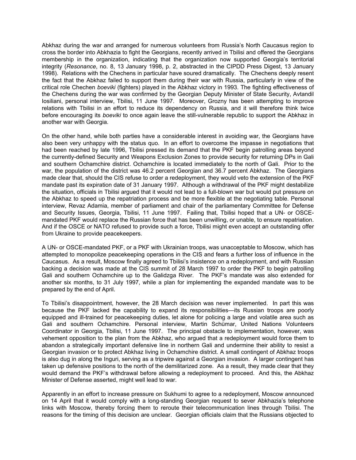Abkhaz during the war and arranged for numerous volunteers from Russia's North Caucasus region to cross the border into Abkhazia to fight the Georgians, recently arrived in Tbilisi and offered the Georgians membership in the organization, indicating that the organization now supported Georgia's territorial integrity (*Resonance*, no. 8, 13 January 1998, p. 2, abstracted in the CIPDD Press Digest, 13 January 1998). Relations with the Chechens in particular have soured dramatically. The Chechens deeply resent the fact that the Abkhaz failed to support them during their war with Russia, particularly in view of the critical role Chechen *boeviki* (fighters) played in the Abkhaz victory in 1993. The fighting effectiveness of the Chechens during the war was confirmed by the Georgian Deputy Minister of State Security, Avtandil Iosiliani, personal interview, Tbilisi, 11 June 1997. Moreover, Grozny has been attempting to improve relations with Tbilisi in an effort to reduce its dependency on Russia, and it will therefore think twice before encouraging its *boeviki* to once again leave the still-vulnerable republic to support the Abkhaz in another war with Georgia.

On the other hand, while both parties have a considerable interest in avoiding war, the Georgians have also been very unhappy with the status quo. In an effort to overcome the impasse in negotiations that had been reached by late 1996, Tbilisi pressed its demand that the PKF begin patrolling areas beyond the currently-defined Security and Weapons Exclusion Zones to provide security for returning DPs in Gali and southern Ochamchire district. Ochamchire is located immediately to the north of Gali. Prior to the war, the population of the district was 46.2 percent Georgian and 36.7 percent Abkhaz. The Georgians made clear that, should the CIS refuse to order a redeployment, they would veto the extension of the PKF mandate past its expiration date of 31 January 1997. Although a withdrawal of the PKF might destabilize the situation, officials in Tbilisi argued that it would not lead to a full-blown war but would put pressure on the Abkhaz to speed up the repatriation process and be more flexible at the negotiating table. Personal interview, Revaz Adamia, member of parliament and chair of the parliamentary Committee for Defense and Security Issues, Georgia, Tbilisi, 11 June 1997. Failing that, Tbilisi hoped that a UN- or OSCEmandated PKF would replace the Russian force that has been unwilling, or unable, to ensure repatriation. And if the OSCE or NATO refused to provide such a force, Tbilisi might even accept an outstanding offer from Ukraine to provide peacekeepers.

A UN- or OSCE-mandated PKF, or a PKF with Ukrainian troops, was unacceptable to Moscow, which has attempted to monopolize peacekeeping operations in the CIS and fears a further loss of influence in the Caucasus. As a result, Moscow finally agreed to Tbilisi's insistence on a redeployment, and with Russian backing a decision was made at the CIS summit of 28 March 1997 to order the PKF to begin patrolling Gali and southern Ochamchire up to the Galidzga River. The PKF's mandate was also extended for another six months, to 31 July 1997, while a plan for implementing the expanded mandate was to be prepared by the end of April.

To Tbilisi's disappointment, however, the 28 March decision was never implemented. In part this was because the PKF lacked the capability to expand its responsibilities—its Russian troops are poorly equipped and ill-trained for peacekeeping duties, let alone for policing a large and volatile area such as Gali and southern Ochamchire. Personal interview, Martin Schümar, United Nations Volunteers Coordinator in Georgia, Tbilisi, 11 June 1997. The principal obstacle to implementation, however, was vehement opposition to the plan from the Abkhaz, who argued that a redeployment would force them to abandon a strategically important defensive line in northern Gali and undermine their ability to resist a Georgian invasion or to protect Abkhaz living in Ochamchire district. A small contingent of Abkhaz troops is also dug in along the Inguri, serving as a tripwire against a Georgian invasion. A larger contingent has taken up defensive positions to the north of the demilitarized zone. As a result, they made clear that they would demand the PKF's withdrawal before allowing a redeployment to proceed. And this, the Abkhaz Minister of Defense asserted, might well lead to war.

Apparently in an effort to increase pressure on Sukhumi to agree to a redeployment, Moscow announced on 14 April that it would comply with a long-standing Georgian request to sever Abkhazia's telephone links with Moscow, thereby forcing them to reroute their telecommunication lines through Tbilisi. The reasons for the timing of this decision are unclear. Georgian officials claim that the Russians objected to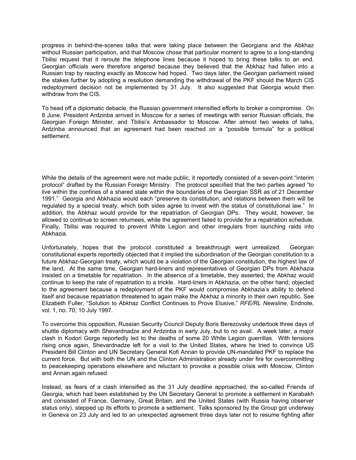progress in behind-the-scenes talks that were taking place between the Georgians and the Abkhaz without Russian participation, and that Moscow chose that particular moment to agree to a long-standing Tbilisi request that it reroute the telephone lines because it hoped to bring these talks to an end. Georgian officials were therefore angered because they believed that the Abkhaz had fallen into a Russian trap by reacting exactly as Moscow had hoped. Two days later, the Georgian parliament raised the stakes further by adopting a resolution demanding the withdrawal of the PKF should the March CIS redeployment decision not be implemented by 31 July. It also suggested that Georgia would then withdraw from the CIS.

To head off a diplomatic debacle, the Russian government intensified efforts to broker a compromise. On 8 June, President Ardzinba arrived in Moscow for a series of meetings with senior Russian officials, the Georgian Foreign Minister, and Tbilisi's Ambassador to Moscow. After almost two weeks of talks, Ardzinba announced that an agreement had been reached on a "possible formula" for a political settlement.

While the details of the agreement were not made public, it reportedly consisted of a seven-point "interim protocol" drafted by the Russian Foreign Ministry. The protocol specified that the two parties agreed "to live within the confines of a shared state within the boundaries of the Georgian SSR as of 21 December 1991." Georgia and Abkhazia would each "preserve its constitution, and relations between them will be regulated by a special treaty, which both sides agree to invest with the status of constitutional law." In addition, the Abkhaz would provide for the repatriation of Georgian DPs. They would, however, be allowed to continue to screen returnees, while the agreement failed to provide for a repatriation schedule. Finally, Tbilisi was required to prevent White Legion and other irregulars from launching raids into Abkhazia.

Unfortunately, hopes that the protocol constituted a breakthrough went unrealized. Georgian constitutional experts reportedly objected that it implied the subordination of the Georgian constitution to a future Abkhaz-Georgian treaty, which would be a violation of the Georgian constitution, the highest law of the land. At the same time, Georgian hard-liners and representatives of Georgian DPs from Abkhazia insisted on a timetable for repatriation. In the absence of a timetable, they asserted, the Abkhaz would continue to keep the rate of repatriation to a trickle. Hard-liners in Abkhazia, on the other hand, objected to the agreement because a redeployment of the PKF would compromise Abkhazia's ability to defend itself and because repatriation threatened to again make the Abkhaz a minority in their own republic. See Elizabeth Fuller, "Solution to Abkhaz Conflict Continues to Prove Elusive," *RFE/RL Newsline,* Endnote, vol. 1, no. 70, 10 July 1997.

To overcome this opposition, Russian Security Council Deputy Boris Berezovsky undertook three days of shuttle diplomacy with Shevardnadze and Ardzinba in early July, but to no avail. A week later, a major clash in Kodori Gorge reportedly led to the deaths of some 20 White Legion guerrillas. With tensions rising once again, Shevardnadze left for a visit to the United States, where he tried to convince US President Bill Clinton and UN Secretary General Kofi Annan to provide UN-mandated PKF to replace the current force. But with both the UN and the Clinton Administration already under fire for overcommitting to peacekeeping operations elsewhere and reluctant to provoke a possible crisis with Moscow, Clinton and Annan again refused.

Instead, as fears of a clash intensified as the 31 July deadline approached, the so-called Friends of Georgia, which had been established by the UN Secretary General to promote a settlement in Karabakh and consisted of France, Germany, Great Britain, and the United States (with Russia having observer status only), stepped up its efforts to promote a settlement. Talks sponsored by the Group got underway in Geneva on 23 July and led to an unexpected agreement three days later not to resume fighting after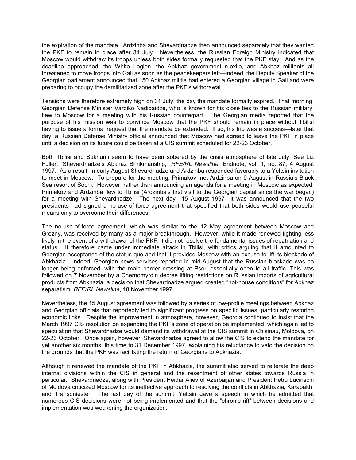the expiration of the mandate. Ardzinba and Shevardnadze then announced separately that they wanted the PKF to remain in place after 31 July. Nevertheless, the Russian Foreign Ministry indicated that Moscow would withdraw its troops unless both sides formally requested that the PKF stay. And as the deadline approached, the White Legion, the Abkhaz government-in-exile, and Abkhaz militants all threatened to move troops into Gali as soon as the peacekeepers left—indeed, the Deputy Speaker of the Georgian parliament announced that 150 Abkhaz militia had entered a Georgian village in Gali and were preparing to occupy the demilitarized zone after the PKF's withdrawal.

Tensions were therefore extremely high on 31 July, the day the mandate formally expired. That morning, Georgian Defense Minister Vardiko Nadibaidze, who is known for his close ties to the Russian military, flew to Moscow for a meeting with his Russian counterpart. The Georgian media reported that the purpose of his mission was to convince Moscow that the PKF should remain in place without Tbilisi having to issue a formal request that the mandate be extended. If so, his trip was a success—later that day, a Russian Defense Ministry official announced that Moscow had agreed to leave the PKF in place until a decision on its future could be taken at a CIS summit scheduled for 22-23 October.

Both Tbilisi and Sukhumi seem to have been sobered by the crisis atmosphere of late July. See Liz Fuller, "Shevardnadze's Abkhaz Brinkmanship," *RFE/RL Newsline*, Endnote, vol. 1, no. 87, 4 August 1997. As a result, in early August Shevardnadze and Ardzinba responded favorably to a Yeltsin invitation to meet in Moscow. To prepare for the meeting, Primakov met Ardzinba on 9 August in Russia's Black Sea resort of Sochi. However, rather than announcing an agenda for a meeting in Moscow as expected, Primakov and Ardzinba flew to Tbilisi (Ardzinba's first visit to the Georgian capital since the war began) for a meeting with Shevardnadze. The next day—15 August 1997—it was announced that the two presidents had signed a no-use-of-force agreement that specified that both sides would use peaceful means only to overcome their differences.

The no-use-of-force agreement, which was similar to the 12 May agreement between Moscow and Grozny, was received by many as a major breakthrough. However, while it made renewed fighting less likely in the event of a withdrawal of the PKF, it did not resolve the fundamental issues of repatriation and status. It therefore came under immediate attack in Tbilisi, with critics arguing that it amounted to Georgian acceptance of the status quo and that it provided Moscow with an excuse to lift its blockade of Abkhazia. Indeed, Georgian news services reported in mid-August that the Russian blockade was no longer being enforced, with the main border crossing at Psou essentially open to all traffic. This was followed on 7 November by a Chernomyrdin decree lifting restrictions on Russian imports of agricultural products from Abkhazia, a decision that Shevardnadze argued created "hot-house conditions" for Abkhaz separatism. *RFE/RL Newsline*, 18 November 1997.

Nevertheless, the 15 August agreement was followed by a series of low-profile meetings between Abkhaz and Georgian officials that reportedly led to significant progress on specific issues, particularly restoring economic links. Despite the improvement in atmosphere, however, Georgia continued to insist that the March 1997 CIS resolution on expanding the PKF's zone of operation be implemented, which again led to speculation that Shevardnadze would demand its withdrawal at the CIS summit in Chisinau, Moldova, on 22-23 October. Once again, however, Shevardnadze agreed to allow the CIS to extend the mandate for yet another six months, this time to 31 December 1997, explaining his reluctance to veto the decision on the grounds that the PKF was facilitating the return of Georgians to Abkhazia.

Although it renewed the mandate of the PKF in Abkhazia, the summit also served to reiterate the deep internal divisions within the CIS in general and the resentment of other states towards Russia in particular. Shevardnadze, along with President Heidar Aliev of Azerbaijan and President Petru Lucinschi of Moldova criticized Moscow for its ineffective approach to resolving the conflicts in Abkhazia, Karabakh, and Transdniester. The last day of the summit, Yeltsin gave a speech in which he admitted that numerous CIS decisions were not being implemented and that the "chronic rift" between decisions and implementation was weakening the organization.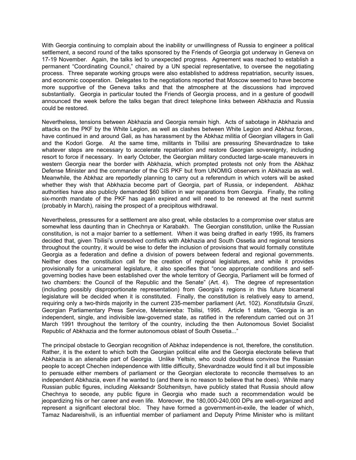With Georgia continuing to complain about the inability or unwillingness of Russia to engineer a political settlement, a second round of the talks sponsored by the Friends of Georgia got underway in Geneva on 17-19 November. Again, the talks led to unexpected progress. Agreement was reached to establish a permanent "Coordinating Council," chaired by a UN special representative, to oversee the negotiating process. Three separate working groups were also established to address repatriation, security issues, and economic cooperation. Delegates to the negotiations reported that Moscow seemed to have become more supportive of the Geneva talks and that the atmosphere at the discussions had improved substantially. Georgia in particular touted the Friends of Georgia process, and in a gesture of goodwill announced the week before the talks began that direct telephone links between Abkhazia and Russia could be restored.

Nevertheless, tensions between Abkhazia and Georgia remain high. Acts of sabotage in Abkhazia and attacks on the PKF by the White Legion, as well as clashes between White Legion and Abkhaz forces, have continued in and around Gali, as has harassment by the Abkhaz militia of Georgian villagers in Gali and the Kodori Gorge. At the same time, militants in Tbilisi are pressuring Shevardnadze to take whatever steps are necessary to accelerate repatriation and restore Georgian sovereignty, including resort to force if necessary. In early October, the Georgian military conducted large-scale maneuvers in western Georgia near the border with Abkhazia, which prompted protests not only from the Abkhaz Defense Minister and the commander of the CIS PKF but from UNOMIG observers in Abkhazia as well. Meanwhile, the Abkhaz are reportedly planning to carry out a referendum in which voters will be asked whether they wish that Abkhazia become part of Georgia, part of Russia, or independent. Abkhaz authorities have also publicly demanded \$60 billion in war reparations from Georgia. Finally, the rolling six-month mandate of the PKF has again expired and will need to be renewed at the next summit (probably in March), raising the prospect of a precipitous withdrawal.

Nevertheless, pressures for a settlement are also great, while obstacles to a compromise over status are somewhat less daunting than in Chechnya or Karabakh. The Georgian constitution, unlike the Russian constitution, is not a major barrier to a settlement. When it was being drafted in early 1995, its framers decided that, given Tbilisi's unresolved conflicts with Abkhazia and South Ossetia and regional tensions throughout the country, it would be wise to defer the inclusion of provisions that would formally constitute Georgia as a federation and define a division of powers between federal and regional governments. Neither does the constitution call for the creation of regional legislatures, and while it provides provisionally for a unicameral legislature, it also specifies that "once appropriate conditions and selfgoverning bodies have been established over the whole territory of Georgia, Parliament will be formed of two chambers: the Council of the Republic and the Senate" (Art. 4). The degree of representation (including possibly disproportionate representation) from Georgia's regions in this future bicameral legislature will be decided when it is constituted. Finally, the constitution is relatively easy to amend, requiring only a two-thirds majority in the current 235-member parliament (Art. 102). *Konstitutsiia Gruzii*, Georgian Parliamentary Press Service, Metsniereba: Tbilisi, 1995. Article 1 states, "Georgia is an independent, single, and indivisible law-governed state, as ratified in the referendum carried out on 31 March 1991 throughout the territory of the country, including the then Autonomous Soviet Socialist Republic of Abkhazia and the former autonomous oblast of South Ossetia..."

The principal obstacle to Georgian recognition of Abkhaz independence is not, therefore, the constitution. Rather, it is the extent to which both the Georgian political elite and the Georgia electorate believe that Abkhazia is an alienable part of Georgia. Unlike Yeltsin, who could doubtless convince the Russian people to accept Chechen independence with little difficulty, Shevardnadze would find it all but impossible to persuade either members of parliament or the Georgian electorate to reconcile themselves to an independent Abkhazia, even if he wanted to (and there is no reason to believe that he does). While many Russian public figures, including Aleksandr Solzhenitsyn, have publicly stated that Russia should allow Chechnya to secede, any public figure in Georgia who made such a recommendation would be jeopardizing his or her career and even life. Moreover, the 180,000-240,000 DPs are well-organized and represent a significant electoral bloc. They have formed a government-in-exile, the leader of which, Tamaz Nadareishvili, is an influential member of parliament and Deputy Prime Minister who is militant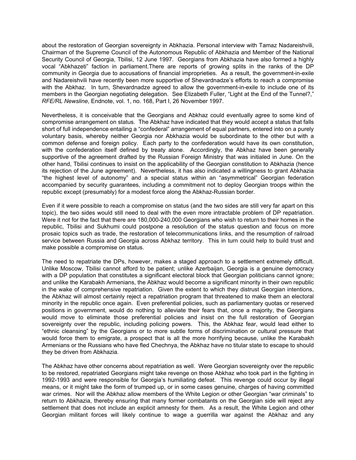about the restoration of Georgian sovereignty in Abkhazia. Personal interview with Tamaz Nadareishvili, Chairman of the Supreme Council of the Autonomous Republic of Abkhazia and Member of the National Security Council of Georgia, Tbilisi, 12 June 1997. Georgians from Abkhazia have also formed a highly vocal "Abkhazeti" faction in parliament.There are reports of growing splits in the ranks of the DP community in Georgia due to accusations of financial improprieties. As a result, the government-in-exile and Nadareishvili have recently been more supportive of Shevardnadze's efforts to reach a compromise with the Abkhaz. In turn, Shevardnadze agreed to allow the government-in-exile to include one of its members in the Georgian negotiating delegation. See Elizabeth Fuller, "Light at the End of the Tunnel?," *RFE/RL Newsline*, Endnote, vol. 1, no. 168, Part I, 26 November 1997.

Nevertheless, it is conceivable that the Georgians and Abkhaz could eventually agree to some kind of compromise arrangement on status. The Abkhaz have indicated that they would accept a status that falls short of full independence entailing a "confederal" arrangement of equal partners, entered into on a purely voluntary basis, whereby neither Georgia nor Abkhazia would be subordinate to the other but with a common defense and foreign policy. Each party to the confederation would have its own constitution, with the confederation itself defined by treaty alone. Accordingly, the Abkhaz have been generally supportive of the agreement drafted by the Russian Foreign Ministry that was initialed in June. On the other hand, Tbilisi continues to insist on the applicability of the Georgian constitution to Abkhazia (hence its rejection of the June agreement). Nevertheless, it has also indicated a willingness to grant Abkhazia "the highest level of autonomy" and a special status within an "asymmetrical" Georgian federation accompanied by security guarantees, including a commitment not to deploy Georgian troops within the republic except (presumably) for a modest force along the Abkhaz-Russian border.

Even if it were possible to reach a compromise on status (and the two sides are still very far apart on this topic), the two sides would still need to deal with the even more intractable problem of DP repatriation. Were it not for the fact that there are 180,000-240,000 Georgians who wish to return to their homes in the republic, Tbilisi and Sukhumi could postpone a resolution of the status question and focus on more prosaic topics such as trade, the restoration of telecommunications links, and the resumption of railroad service between Russia and Georgia across Abkhaz territory. This in turn could help to build trust and make possible a compromise on status.

The need to repatriate the DPs, however, makes a staged approach to a settlement extremely difficult. Unlike Moscow, Tbilisi cannot afford to be patient; unlike Azerbaijan, Georgia is a genuine democracy with a DP population that constitutes a significant electoral block that Georgian politicians cannot ignore; and unlike the Karabakh Armenians, the Abkhaz would become a significant minority in their own republic in the wake of comprehensive repatriation. Given the extent to which they distrust Georgian intentions, the Abkhaz will almost certainly reject a repatriation program that threatened to make them an electoral minority in the republic once again. Even preferential policies, such as parliamentary quotas or reserved positions in government, would do nothing to alleviate their fears that, once a majority, the Georgians would move to eliminate those preferential policies and insist on the full restoration of Georgian sovereignty over the republic, including policing powers. This, the Abkhaz fear, would lead either to "ethnic cleansing" by the Georgians or to more subtle forms of discrimination or cultural pressure that would force them to emigrate, a prospect that is all the more horrifying because, unlike the Karabakh Armenians or the Russians who have fled Chechnya, the Abkhaz have no titular state to escape to should they be driven from Abkhazia.

The Abkhaz have other concerns about repatriation as well. Were Georgian sovereignty over the republic to be restored, repatriated Georgians might take revenge on those Abkhaz who took part in the fighting in 1992-1993 and were responsible for Georgia's humiliating defeat. This revenge could occur by illegal means, or it might take the form of trumped up, or in some cases genuine, charges of having committed war crimes. Nor will the Abkhaz allow members of the White Legion or other Georgian "war criminals" to return to Abkhazia, thereby ensuring that many former combatants on the Georgian side will reject any settlement that does not include an explicit amnesty for them. As a result, the White Legion and other Georgian militant forces will likely continue to wage a guerrilla war against the Abkhaz and any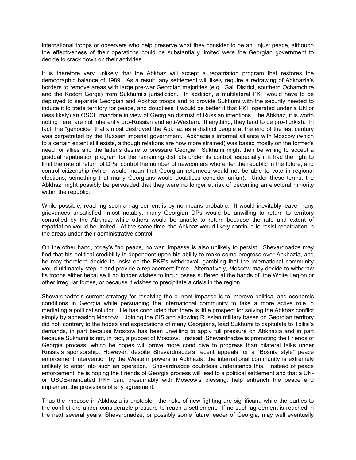international troops or observers who help preserve what they consider to be an unjust peace, although the effectiveness of their operations could be substantially limited were the Georgian government to decide to crack down on their activities.

It is therefore very unlikely that the Abkhaz will accept a repatriation program that restores the demographic balance of 1989. As a result, any settlement will likely require a redrawing of Abkhazia's borders to remove areas with large pre-war Georgian majorities (e.g., Gali District, southern Ochamchire and the Kodori Gorge) from Sukhumi's jurisdiction. In addition, a multilateral PKF would have to be deployed to separate Georgian and Abkhaz troops and to provide Sukhumi with the security needed to induce it to trade territory for peace, and doubtless it would be better if that PKF operated under a UN or (less likely) an OSCE mandate in view of Georgian distrust of Russian intentions. The Abkhaz, it is worth noting here, are not inherently pro-Russian and anti-Western. If anything, they tend to be pro-Turkish. In fact, the "genocide" that almost destroyed the Abkhaz as a distinct people at the end of the last century was perpetrated by the Russian imperial government. Abkhazia's informal alliance with Moscow (which to a certain extent still exists, although relations are now more strained) was based mostly on the former's need for allies and the latter's desire to pressure Georgia. Sukhumi might then be willing to accept a gradual repatriation program for the remaining districts under its control, especially if it had the right to limit the rate of return of DPs, control the number of newcomers who enter the republic in the future, and control citizenship (which would mean that Georgian returnees would not be able to vote in regional elections, something that many Georgians would doubtless consider unfair). Under these terms, the Abkhaz might possibly be persuaded that they were no longer at risk of becoming an electoral minority within the republic.

While possible, reaching such an agreement is by no means probable. It would inevitably leave many grievances unsatisfied—most notably, many Georgian DPs would be unwilling to return to territory controlled by the Abkhaz, while others would be unable to return because the rate and extent of repatriation would be limited. At the same time, the Abkhaz would likely continue to resist repatriation in the areas under their administrative control.

On the other hand, today's "no peace, no war" impasse is also unlikely to persist. Shevardnadze may find that his political credibility is dependent upon his ability to make some progress over Abkhazia, and he may therefore decide to insist on the PKF's withdrawal, gambling that the international community would ultimately step in and provide a replacement force. Alternatively, Moscow may decide to withdraw its troops either because it no longer wishes to incur losses suffered at the hands of the White Legion or other irregular forces, or because it wishes to precipitate a crisis in the region.

Shevardnadze's current strategy for resolving the current impasse is to improve political and economic conditions in Georgia while persuading the international community to take a more active role in mediating a political solution. He has concluded that there is little prospect for solving the Abkhaz conflict simply by appeasing Moscow. Joining the CIS and allowing Russian military bases on Georgian territory did not, contrary to the hopes and expectations of many Georgians, lead Sukhumi to capitulate to Tbilisi's demands, in part because Moscow has been unwilling to apply full pressure on Abkhazia and in part because Sukhumi is not, in fact, a puppet of Moscow. Instead, Shevardnadze is promoting the Friends of Georgia process, which he hopes will prove more conducive to progress than bilateral talks under Russia's sponsorship. However, despite Shevardnadze's recent appeals for a "Bosnia style" peace enforcement intervention by the Western powers in Abkhazia, the international community is extremely unlikely to enter into such an operation. Shevardnadze doubtless understands this. Instead of peace enforcement, he is hoping the Friends of Georgia process will lead to a political settlement and that a UNor OSCE-mandated PKF can, presumably with Moscow's blessing, help entrench the peace and implement the provisions of any agreement.

Thus the impasse in Abkhazia is unstable—the risks of new fighting are significant, while the parties to the conflict are under considerable pressure to reach a settlement. If no such agreement is reached in the next several years, Shevardnadze, or possibly some future leader of Georgia, may well eventually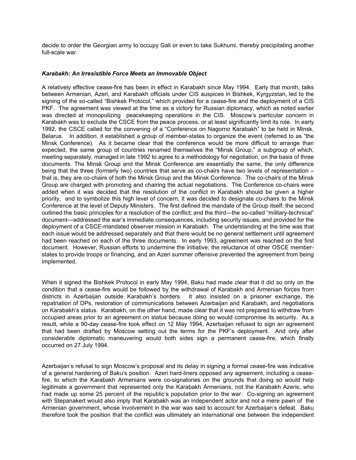decide to order the Georgian army to occupy Gali or even to take Sukhumi, thereby precipitating another full-scale war.

## *Karabakh: An Irresistible Force Meets an Immovable Object*

A relatively effective cease-fire has been in effect in Karabakh since May 1994. Early that month, talks between Armenian, Azeri, and Karabakh officials under CIS auspices in Bishkek, Kyrgyzstan, led to the signing of the so-called "Bishkek Protocol," which provided for a cease-fire and the deployment of a CIS PKF. The agreement was viewed at the time as a victory for Russian diplomacy, which as noted earlier was directed at monopolizing peacekeeping operations in the CIS. Moscow's particular concern in Karabakh was to exclude the CSCE from the peace process, or at least significantly limit its role. In early 1992, the CSCE called for the convening of a "Conference on Nagorno Karabakh" to be held in Minsk, Belarus. In addition, it established a group of member-states to organize the event (referred to as "the Minsk Conference). As it became clear that the conference would be more difficult to arrange than expected, the same group of countries renamed themselves the "Minsk Group," a subgroup of which, meeting separately, managed in late 1992 to agree to a methodology for negotiation, on the basis of three documents. The Minsk Group and the Minsk Conference are essentially the same, the only difference being that the three (formerly two) countries that serve as co-chairs have two levels of representation – that is, they are co-chairs of both the Minsk Group and the Minsk Conference. The co-chairs of the Minsk Group are charged with promoting and chairing the actual negotiations. The Conference co-chairs were added when it was decided that the resolution of the conflict in Karabakh should be given a higher priority, and to symbolize this high level of concern, it was decided to designate co-chairs to the Minsk Conference at the level of Deputy Ministers. The first defined the mandate of the Group itself; the second outlined the basic principles for a resolution of the conflict; and the third—the so-called "military-technical" document—addressed the war's immediate consequences, including security issues, and provided for the deployment of a CSCE-mandated observer mission in Karabakh. The understanding at the time was that each issue would be addressed separately and that there would be no general settlement until agreement had been reached on each of the three documents. In early 1993, agreement was reached on the first document. However, Russian efforts to undermine the initiative, the reluctance of other OSCE memberstates to provide troops or financing, and an Azeri summer offensive prevented the agreement from being implemented.

When it signed the Bishkek Protocol in early May 1994, Baku had made clear that it did so only on the condition that a cease-fire would be followed by the withdrawal of Karabakh and Armenian forces from districts in Azerbaijan outside Karabakh's borders. It also insisted on a prisoner exchange, the repatriation of DPs, restoration of communications between Azerbaijan and Karabakh, and negotiations on Karabakh's status. Karabakh, on the other hand, made clear that it was not prepared to withdraw from occupied areas prior to an agreement on status because doing so would compromise its security. As a result, while a 90-day cease-fire took effect on 12 May 1994, Azerbaijan refused to sign an agreement that had been drafted by Moscow setting out the terms for the PKF's deployment. And only after considerable diplomatic maneuvering would both sides sign a permanent cease-fire, which finally occurred on 27 July 1994.

Azerbaijan's refusal to sign Moscow's proposal and its delay in signing a formal cease-fire was indicative of a general hardening of Baku's position. Azeri hard-liners opposed any agreement, including a ceasefire, to which the Karabakh Armenians were co-signatories on the grounds that doing so would help legitimate a government that represented only the Karabakh Armenians, not the Karabakh Azeris, who had made up some 25 percent of the republic's population prior to the war. Co-signing an agreement with Stepanakert would also imply that Karabakh was an independent actor and not a mere pawn of the Armenian government, whose involvement in the war was said to account for Azerbaijan's defeat. Baku therefore took the position that the conflict was ultimately an international one between the independent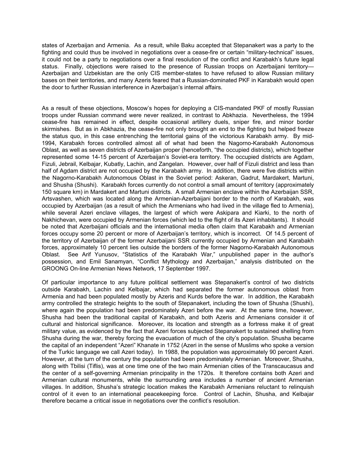states of Azerbaijan and Armenia. As a result, while Baku accepted that Stepanakert was a party to the fighting and could thus be involved in negotiations over a cease-fire or certain "military-technical" issues, it could not be a party to negotiations over a final resolution of the conflict and Karabakh's future legal status. Finally, objections were raised to the presence of Russian troops on Azerbaijani territory-Azerbaijan and Uzbekistan are the only CIS member-states to have refused to allow Russian military bases on their territories, and many Azeris feared that a Russian-dominated PKF in Karabakh would open the door to further Russian interference in Azerbaijan's internal affairs.

As a result of these objections, Moscow's hopes for deploying a CIS-mandated PKF of mostly Russian troops under Russian command were never realized, in contrast to Abkhazia. Nevertheless, the 1994 cease-fire has remained in effect, despite occasional artillery duels, sniper fire, and minor border skirmishes. But as in Abkhazia, the cease-fire not only brought an end to the fighting but helped freeze the status quo, in this case entrenching the territorial gains of the victorious Karabakh army. By mid-1994, Karabakh forces controlled almost all of what had been the Nagorno-Karabakh Autonomous Oblast, as well as seven districts of Azerbaijan proper (henceforth, "the occupied districts), which together represented some 14-15 percent of Azerbaijan's Soviet-era territory. The occupied districts are Agdam, Fizuli, Jebrail, Kelbajar, Kubatly, Lachin, and Zangelan. However, over half of Fizuli district and less than half of Agdam district are not occupied by the Karabakh army. In addition, there were five districts within the Nagorno-Karabakh Autonomous Oblast in the Soviet period: Askeran, Gadrut, Mardakert, Martuni, and Shusha (Shushi). Karabakh forces currently do not control a small amount of territory (approximately 150 square km) in Mardakert and Martuni districts. A small Armenian enclave within the Azerbaijan SSR, Artsvashen, which was located along the Armenian-Azerbaijani border to the north of Karabakh, was occupied by Azerbaijan (as a result of which the Armenians who had lived in the village fled to Armenia), while several Azeri enclave villages, the largest of which were Askipara and Kiarki, to the north of Nakhichevan, were occupied by Armenian forces (which led to the flight of its Azeri inhabitants). It should be noted that Azerbaijani officials and the international media often claim that Karabakh and Armenian forces occupy some 20 percent or more of Azerbaijan's territory, which is incorrect. Of 14.5 percent of the territory of Azerbaijan of the former Azerbaijani SSR currently occupied by Armenian and Karabakh forces, approximately 10 percent lies outside the borders of the former Nagorno-Karabakh Autonomous Oblast. See Arif Yunusov, "Statistics of the Karabakh War," unpublished paper in the author's possession, and Emil Sanamyan, "Conflict Mythology and Azerbaijan," analysis distributed on the GROONG On-line Armenian News Network, 17 September 1997.

Of particular importance to any future political settlement was Stepanakert's control of two districts outside Karabakh, Lachin and Kelbajar, which had separated the former autonomous oblast from Armenia and had been populated mostly by Azeris and Kurds before the war. In addition, the Karabakh army controlled the strategic heights to the south of Stepanakert, including the town of Shusha (Shushi), where again the population had been predominately Azeri before the war. At the same time, however, Shusha had been the traditional capital of Karabakh, and both Azeris and Armenians consider it of cultural and historical significance. Moreover, its location and strength as a fortress make it of great military value, as evidenced by the fact that Azeri forces subjected Stepanakert to sustained shelling from Shusha during the war, thereby forcing the evacuation of much of the city's population. Shusha became the capital of an independent "Azeri" Khanate in 1752 (Azeri in the sense of Muslims who spoke a version of the Turkic language we call Azeri today). In 1988, the population was approximately 90 percent Azeri. However, at the turn of the century the population had been predominately Armenian. Moreover, Shusha, along with Tbilisi (Tiflis), was at one time one of the two main Armenian cities of the Transcaucasus and the center of a self-governing Armenian principality in the 1720s. It therefore contains both Azeri and Armenian cultural monuments, while the surrounding area includes a number of ancient Armenian villages. In addition, Shusha's strategic location makes the Karabakh Armenians reluctant to relinquish control of it even to an international peacekeeping force. Control of Lachin, Shusha, and Kelbajar therefore became a critical issue in negotiations over the conflict's resolution.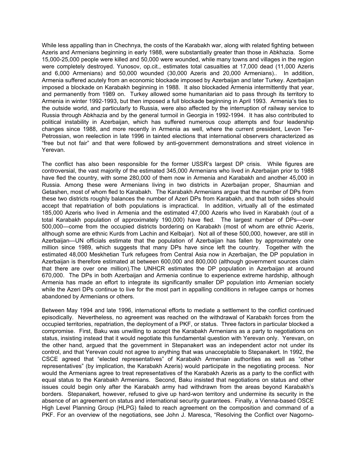While less appalling than in Chechnya, the costs of the Karabakh war, along with related fighting between Azeris and Armenians beginning in early 1988, were substantially greater than those in Abkhazia. Some 15,000-25,000 people were killed and 50,000 were wounded, while many towns and villages in the region were completely destroyed. Yunosov, op.cit., estimates total casualties at 17,000 dead (11,000 Azeris and 6,000 Armenians) and 50,000 wounded (30,000 Azeris and 20,000 Armenians).. In addition, Armenia suffered acutely from an economic blockade imposed by Azerbaijan and later Turkey. Azerbaijan imposed a blockade on Karabakh beginning in 1988. It also blockaded Armenia intermittently that year, and permanently from 1989 on. Turkey allowed some humanitarian aid to pass through its territory to Armenia in winter 1992-1993, but then imposed a full blockade beginning in April 1993. Armenia's ties to the outside world, and particularly to Russia, were also affected by the interruption of railway service to Russia through Abkhazia and by the general turmoil in Georgia in 1992-1994. It has also contributed to political instability in Azerbaijan, which has suffered numerous coup attempts and four leadership changes since 1988, and more recently in Armenia as well, where the current president, Levon Ter-Petrossian, won reelection in late 1996 in tainted elections that international observers characterized as "free but not fair" and that were followed by anti-government demonstrations and street violence in Yerevan.

The conflict has also been responsible for the former USSR's largest DP crisis. While figures are controversial, the vast majority of the estimated 345,000 Armenians who lived in Azerbaijan prior to 1988 have fled the country, with some 280,000 of them now in Armenia and Karabakh and another 45,000 in Russia. Among these were Armenians living in two districts in Azerbaijan proper, Shaumian and Getashen, most of whom fled to Karabakh. The Karabakh Armenians argue that the number of DPs from these two districts roughly balances the number of Azeri DPs from Karabakh, and that both sides should accept that repatriation of both populations is impractical. In addition, virtually all of the estimated 185,000 Azeris who lived in Armenia and the estimated 47,000 Azeris who lived in Karabakh (out of a total Karabakh population of approximately 190,000) have fled. The largest number of DPs—over 500,000—come from the occupied districts bordering on Karabakh (most of whom are ethnic Azeris, although some are ethnic Kurds from Lachin and Kelbajar). Not all of these 500,000, however, are still in Azerbaijan—UN officials estimate that the population of Azerbaijan has fallen by approximately one million since 1989, which suggests that many DPs have since left the country. Together with the estimated 48,000 Meskhetian Turk refugees from Central Asia now in Azerbaijan, the DP population in Azerbaijan is therefore estimated at between 600,000 and 800,000 (although government sources claim that there are over one million).The UNHCR estimates the DP population in Azerbaijan at around 670,000. The DPs in both Azerbaijan and Armenia continue to experience extreme hardship, although Armenia has made an effort to integrate its significantly smaller DP population into Armenian society while the Azeri DPs continue to live for the most part in appalling conditions in refugee camps or homes abandoned by Armenians or others.

Between May 1994 and late 1996, international efforts to mediate a settlement to the conflict continued episodically. Nevertheless, no agreement was reached on the withdrawal of Karabakh forces from the occupied territories, repatriation, the deployment of a PKF, or status. Three factors in particular blocked a compromise. First, Baku was unwilling to accept the Karabakh Armenians as a party to negotiations on status, insisting instead that it would negotiate this fundamental question with Yerevan only. Yerevan, on the other hand, argued that the government in Stepanakert was an independent actor not under its control, and that Yerevan could not agree to anything that was unacceptable to Stepanakert. In 1992, the CSCE agreed that "elected representatives" of Karabakh Armenian authorities as well as "other representatives" (by implication, the Karabakh Azeris) would participate in the negotiating process. Nor would the Armenians agree to treat representatives of the Karabakh Azeris as a party to the conflict with equal status to the Karabakh Armenians. Second, Baku insisted that negotiations on status and other issues could begin only after the Karabakh army had withdrawn from the areas beyond Karabakh's borders. Stepanakert, however, refused to give up hard-won territory and undermine its security in the absence of an agreement on status and international security guarantees. Finally, a Vienna-based OSCE High Level Planning Group (HLPG) failed to reach agreement on the composition and command of a PKF. For an overview of the negotiations, see John J. Maresca, "Resolving the Conflict over Nagorno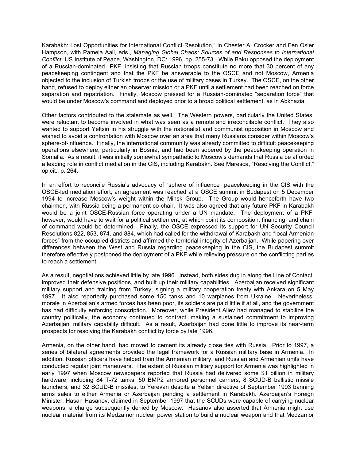Karabakh: Lost Opportunities for International Conflict Resolution," in Chester A. Crocker and Fen Osler Hampson, with Pamela Aall, eds., *Managing Global Chaos: Sources of and Responses to International Conflict*, US Institute of Peace, Washington, DC: 1996, pp. 255-73. While Baku opposed the deployment of a Russian-dominated PKF, insisting that Russian troops constitute no more that 30 percent of any peacekeeping contingent and that the PKF be answerable to the OSCE and not Moscow, Armenia objected to the inclusion of Turkish troops or the use of military bases in Turkey. The OSCE, on the other hand, refused to deploy either an observer mission or a PKF until a settlement had been reached on force separation and repatriation. Finally, Moscow pressed for a Russian-dominated "separation force" that would be under Moscow's command and deployed prior to a broad political settlement, as in Abkhazia.

Other factors contributed to the stalemate as well. The Western powers, particularly the United States, were reluctant to become involved in what was seen as a remote and irreconcilable conflict. They also wanted to support Yeltsin in his struggle with the nationalist and communist opposition in Moscow and wished to avoid a confrontation with Moscow over an area that many Russians consider within Moscow's sphere-of-influence. Finally, the international community was already committed to difficult peacekeeping operations elsewhere, particularly in Bosnia, and had been sobered by the peacekeeping operation in Somalia. As a result, it was initially somewhat sympathetic to Moscow's demands that Russia be afforded a leading role in conflict mediation in the CIS, including Karabakh. See Maresca, "Resolving the Conflict," op.cit., p. 264.

In an effort to reconcile Russia's advocacy of "sphere of influence" peacekeeping in the CIS with the OSCE-led mediation effort, an agreement was reached at a OSCE summit in Budapest on 5 December 1994 to increase Moscow's weight within the Minsk Group. The Group would henceforth have two chairmen, with Russia being a permanent co-chair. It was also agreed that any future PKF in Karabakh would be a joint OSCE-Russian force operating under a UN mandate. The deployment of a PKF, however, would have to wait for a political settlement, at which point its composition, financing, and chain of command would be determined. Finally, the OSCE expressed its support for UN Security Council Resolutions 822, 853, 874, and 884, which had called for the withdrawal of Karabakh and "local Armenian forces" from the occupied districts and affirmed the territorial integrity of Azerbaijan. While papering over differences between the West and Russia regarding peacekeeping in the CIS, the Budapest summit therefore effectively postponed the deployment of a PKF while relieving pressure on the conflicting parties to reach a settlement.

As a result, negotiations achieved little by late 1996. Instead, both sides dug in along the Line of Contact, improved their defensive positions, and built up their military capabilities. Azerbaijan received significant military support and training from Turkey, signing a military cooperation treaty with Ankara on 5 May 1997. It also reportedly purchased some 150 tanks and 10 warplanes from Ukraine. Nevertheless, morale in Azerbaijan's armed forces has been poor, its soldiers are paid little if at all, and the government has had difficulty enforcing conscription. Moreover, while President Aliev had managed to stabilize the country politically, the economy continued to contract, making a sustained commitment to improving Azerbaijani military capability difficult. As a result, Azerbaijan had done little to improve its near-term prospects for resolving the Karabakh conflict by force by late 1996.

Armenia, on the other hand, had moved to cement its already close ties with Russia. Prior to 1997, a series of bilateral agreements provided the legal framework for a Russian military base in Armenia. In addition, Russian officers have helped train the Armenian military, and Russian and Armenian units have conducted regular joint maneuvers. The extent of Russian military support for Armenia was highlighted in early 1997 when Moscow newspapers reported that Russia had delivered some \$1 billion in military hardware, including 84 T-72 tanks, 50 BMP2 armored personnel carriers, 8 SCUD-B ballistic missile launchers, and 32 SCUD-B missiles, to Yerevan despite a Yeltsin directive of September 1993 banning arms sales to either Armenia or Azerbaijan pending a settlement in Karabakh. Azerbaijan's Foreign Minister, Hasan Hasanov, claimed in September 1997 that the SCUDs were capable of carrying nuclear weapons, a charge subsequently denied by Moscow. Hasanov also asserted that Armenia might use nuclear material from its Medzamor nuclear power station to build a nuclear weapon and that Medzamor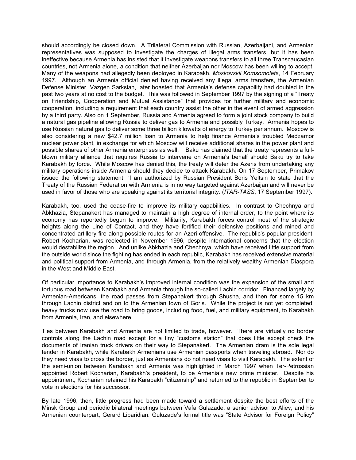should accordingly be closed down. A Trilateral Commission with Russian, Azerbaijani, and Armenian representatives was supposed to investigate the charges of illegal arms transfers, but it has been ineffective because Armenia has insisted that it investigate weapons transfers to all three Transcaucasian countries, not Armenia alone, a condition that neither Azerbaijan nor Moscow has been willing to accept. Many of the weapons had allegedly been deployed in Karabakh. *Moskovskii Komsomolets*, 14 February 1997. Although an Armenia official denied having received any illegal arms transfers, the Armenian Defense Minister, Vazgen Sarksian, later boasted that Armenia's defense capability had doubled in the past two years at no cost to the budget. This was followed in September 1997 by the signing of a "Treaty on Friendship, Cooperation and Mutual Assistance" that provides for further military and economic cooperation, including a requirement that each country assist the other in the event of armed aggression by a third party. Also on 1 September, Russia and Armenia agreed to form a joint stock company to build a natural gas pipeline allowing Russia to deliver gas to Armenia and possibly Turkey. Armenia hopes to use Russian natural gas to deliver some three billion kilowatts of energy to Turkey per annum. Moscow is also considering a new \$42.7 million loan to Armenia to help finance Armenia's troubled Medzamor nuclear power plant, in exchange for which Moscow will receive additional shares in the power plant and possible shares of other Armenia enterprises as well. Baku has claimed that the treaty represents a fullblown military alliance that requires Russia to intervene on Armenia's behalf should Baku try to take Karabakh by force. While Moscow has denied this, the treaty will deter the Azeris from undertaking any military operations inside Armenia should they decide to attack Karabakh. On 17 September, Primakov issued the following statement: "I am authorized by Russian President Boris Yeltsin to state that the Treaty of the Russian Federation with Armenia is in no way targeted against Azerbaijan and will never be used in favor of those who are speaking against its territorial integrity. (*ITAR-TASS*, 17 September 1997).

Karabakh, too, used the cease-fire to improve its military capabilities. In contrast to Chechnya and Abkhazia, Stepanakert has managed to maintain a high degree of internal order, to the point where its economy has reportedly begun to improve. Militarily, Karabakh forces control most of the strategic heights along the Line of Contact, and they have fortified their defensive positions and mined and concentrated artillery fire along possible routes for an Azeri offensive. The republic's popular president, Robert Kocharian, was reelected in November 1996, despite international concerns that the election would destabilize the region. And unlike Abkhazia and Chechnya, which have received little support from the outside world since the fighting has ended in each republic, Karabakh has received extensive material and political support from Armenia, and through Armenia, from the relatively wealthy Armenian Diaspora in the West and Middle East.

Of particular importance to Karabakh's improved internal condition was the expansion of the small and tortuous road between Karabakh and Armenia through the so-called Lachin corridor. Financed largely by Armenian-Americans, the road passes from Stepanakert through Shusha, and then for some 15 km through Lachin district and on to the Armenian town of Goris. While the project is not yet completed, heavy trucks now use the road to bring goods, including food, fuel, and military equipment, to Karabakh from Armenia, Iran, and elsewhere.

Ties between Karabakh and Armenia are not limited to trade, however. There are virtually no border controls along the Lachin road except for a tiny "customs station" that does little except check the documents of Iranian truck drivers on their way to Stepanakert. The Armenian dram is the sole legal tender in Karabakh, while Karabakh Armenians use Armenian passports when traveling abroad. Nor do they need visas to cross the border, just as Armenians do not need visas to visit Karabakh. The extent of the semi-union between Karabakh and Armenia was highlighted in March 1997 when Ter-Petrossian appointed Robert Kocharian, Karabakh's president, to be Armenia's new prime minister. Despite his appointment, Kocharian retained his Karabakh "citizenship" and returned to the republic in September to vote in elections for his successor.

By late 1996, then, little progress had been made toward a settlement despite the best efforts of the Minsk Group and periodic bilateral meetings between Vafa Gulazade, a senior advisor to Aliev, and his Armenian counterpart, Gerard Libaridian. Guluzade's formal title was "State Advisor for Foreign Policy"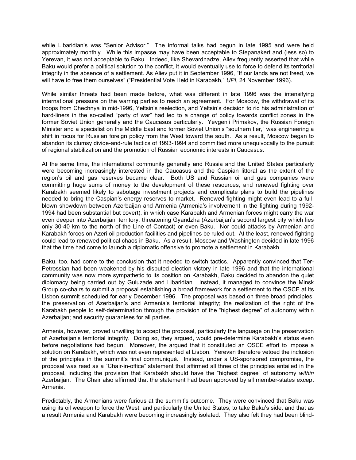while Libaridian's was "Senior Advisor." The informal talks had begun in late 1995 and were held approximately monthly. While this impasse may have been acceptable to Stepanakert and (less so) to Yerevan, it was not acceptable to Baku. Indeed, like Shevardnadze, Aliev frequently asserted that while Baku would prefer a political solution to the conflict, it would eventually use to force to defend its territorial integrity in the absence of a settlement. As Aliev put it in September 1996, "If our lands are not freed, we will have to free them ourselves" ("Presidential Vote Held in Karabakh," *UPI*, 24 November 1996).

While similar threats had been made before, what was different in late 1996 was the intensifying international pressure on the warring parties to reach an agreement. For Moscow, the withdrawal of its troops from Chechnya in mid-1996, Yeltsin's reelection, and Yeltsin's decision to rid his administration of hard-liners in the so-called "party of war" had led to a change of policy towards conflict zones in the former Soviet Union generally and the Caucasus particularly. Yevgenii Primakov, the Russian Foreign Minister and a specialist on the Middle East and former Soviet Union's "southern tier," was engineering a shift in focus for Russian foreign policy from the West toward the south. As a result, Moscow began to abandon its clumsy divide-and-rule tactics of 1993-1994 and committed more unequivocally to the pursuit of regional stabilization and the promotion of Russian economic interests in Caucasus.

At the same time, the international community generally and Russia and the United States particularly were becoming increasingly interested in the Caucasus and the Caspian littoral as the extent of the region's oil and gas reserves became clear. Both US and Russian oil and gas companies were committing huge sums of money to the development of these resources, and renewed fighting over Karabakh seemed likely to sabotage investment projects and complicate plans to build the pipelines needed to bring the Caspian's energy reserves to market. Renewed fighting might even lead to a fullblown showdown between Azerbaijan and Armenia (Armenia's involvement in the fighting during 1992- 1994 had been substantial but covert), in which case Karabakh and Armenian forces might carry the war even deeper into Azerbaijani territory, threatening Gyandzha (Azerbaijan's second largest city which lies only 30-40 km to the north of the Line of Contact) or even Baku. Nor could attacks by Armenian and Karabakh forces on Azeri oil production facilities and pipelines be ruled out. At the least, renewed fighting could lead to renewed political chaos in Baku. As a result, Moscow and Washington decided in late 1996 that the time had come to launch a diplomatic offensive to promote a settlement in Karabakh.

Baku, too, had come to the conclusion that it needed to switch tactics. Apparently convinced that Ter-Petrossian had been weakened by his disputed election victory in late 1996 and that the international community was now more sympathetic to its position on Karabakh, Baku decided to abandon the quiet diplomacy being carried out by Guluzade and Libaridian. Instead, it managed to convince the Minsk Group co-chairs to submit a proposal establishing a broad framework for a settlement to the OSCE at its Lisbon summit scheduled for early December 1996. The proposal was based on three broad principles: the preservation of Azerbaijan's and Armenia's territorial integrity; the realization of the right of the Karabakh people to self-determination through the provision of the "highest degree" of autonomy within Azerbaijan; and security guarantees for all parties.

Armenia, however, proved unwilling to accept the proposal, particularly the language on the preservation of Azerbaijan's territorial integrity. Doing so, they argued, would pre-determine Karabakh's status even before negotiations had begun. Moreover, the argued that it constituted an OSCE effort to impose a solution on Karabakh, which was not even represented at Lisbon. Yerevan therefore vetoed the inclusion of the principles in the summit's final communiqué. Instead, under a US-sponsored compromise, the proposal was read as a "Chair-in-office" statement that affirmed all three of the principles entailed in the proposal, including the provision that Karabakh should have the "highest degree" of autonomy *within* Azerbaijan. The Chair also affirmed that the statement had been approved by all member-states except Armenia.

Predictably, the Armenians were furious at the summit's outcome. They were convinced that Baku was using its oil weapon to force the West, and particularly the United States, to take Baku's side, and that as a result Armenia and Karabakh were becoming increasingly isolated. They also felt they had been blind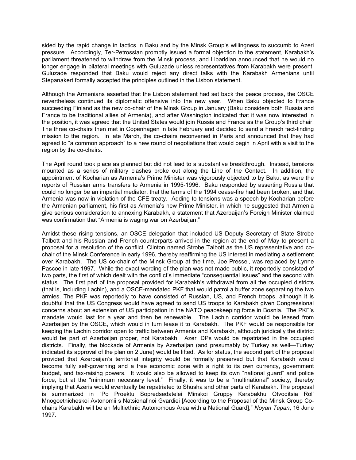sided by the rapid change in tactics in Baku and by the Minsk Group's willingness to succumb to Azeri pressure. Accordingly, Ter-Petrossian promptly issued a formal objection to the statement, Karabakh's parliament threatened to withdraw from the Minsk process, and Libaridian announced that he would no longer engage in bilateral meetings with Guluzade unless representatives from Karabakh were present. Guluzade responded that Baku would reject any direct talks with the Karabakh Armenians until Stepanakert formally accepted the principles outlined in the Lisbon statement.

Although the Armenians asserted that the Lisbon statement had set back the peace process, the OSCE nevertheless continued its diplomatic offensive into the new year. When Baku objected to France succeeding Finland as the new co-chair of the Minsk Group in January (Baku considers both Russia and France to be traditional allies of Armenia), and after Washington indicated that it was now interested in the position, it was agreed that the United States would join Russia and France as the Group's third chair. The three co-chairs then met in Copenhagen in late February and decided to send a French fact-finding mission to the region. In late March, the co-chairs reconvened in Paris and announced that they had agreed to "a common approach" to a new round of negotiations that would begin in April with a visit to the region by the co-chairs.

The April round took place as planned but did not lead to a substantive breakthrough. Instead, tensions mounted as a series of military clashes broke out along the Line of the Contact. In addition, the appointment of Kocharian as Armenia's Prime Minister was vigorously objected to by Baku, as were the reports of Russian arms transfers to Armenia in 1995-1996. Baku responded by asserting Russia that could no longer be an impartial mediator, that the terms of the 1994 cease-fire had been broken, and that Armenia was now in violation of the CFE treaty. Adding to tensions was a speech by Kocharian before the Armenian parliament, his first as Armenia's new Prime Minister, in which he suggested that Armenia give serious consideration to annexing Karabakh, a statement that Azerbaijan's Foreign Minister claimed was confirmation that "Armenia is waging war on Azerbaijan."

Amidst these rising tensions, an-OSCE delegation that included US Deputy Secretary of State Strobe Talbott and his Russian and French counterparts arrived in the region at the end of May to present a proposal for a resolution of the conflict. Clinton named Strobe Talbott as the US representative and cochair of the Minsk Conference in early 1996, thereby reaffirming the US interest in mediating a settlement over Karabakh. The US co-chair of the Minsk Group at the time, Joe Pressel, was replaced by Lynne Pascoe in late 1997. While the exact wording of the plan was not made public, it reportedly consisted of two parts, the first of which dealt with the conflict's immediate "consequential issues" and the second with status. The first part of the proposal provided for Karabakh's withdrawal from all the occupied districts (that is, including Lachin), and a OSCE-mandated PKF that would patrol a buffer zone separating the two armies. The PKF was reportedly to have consisted of Russian, US, and French troops, although it is doubtful that the US Congress would have agreed to send US troops to Karabakh given Congressional concerns about an extension of US participation in the NATO peacekeeping force in Bosnia. The PKF's mandate would last for a year and then be renewable. The Lachin corridor would be leased from Azerbaijan by the OSCE, which would in turn lease it to Karabakh. The PKF would be responsible for keeping the Lachin corridor open to traffic between Armenia and Karabakh, although juridically the district would be part of Azerbaijan proper, not Karabakh. Azeri DPs would be repatriated in the occupied districts. Finally, the blockade of Armenia by Azerbaijan (and presumably by Turkey as well—Turkey indicated its approval of the plan on 2 June) would be lifted. As for status, the second part of the proposal provided that Azerbaijan's territorial integrity would be formally preserved but that Karabakh would become fully self-governing and a free economic zone with a right to its own currency, government budget, and tax-raising powers. It would also be allowed to keep its own "national guard" and police force, but at the "minimum necessary level." Finally, it was to be a "multinational" society, thereby implying that Azeris would eventually be repatriated to Shusha and other parts of Karabakh. The proposal is summarized in "Po Proektu Sopredsedatelei Minskoi Gruppy Karabakhu Otvoditsia Rol' Mnogoetnicheskoi Avtonomii s Natsional'noi Gvardiei [According to the Proposal of the Minsk Group Cochairs Karabakh will be an Multiethnic Autonomous Area with a National Guard]," *Noyan Tapan*, 16 June 1997.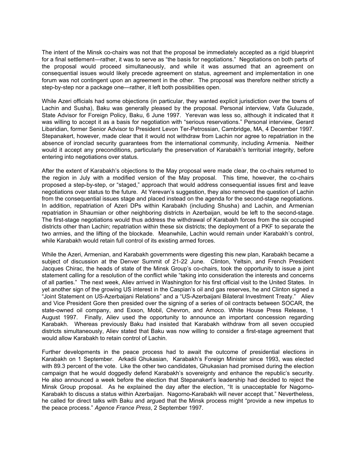The intent of the Minsk co-chairs was not that the proposal be immediately accepted as a rigid blueprint for a final settlement—rather, it was to serve as "the basis for negotiations." Negotiations on both parts of the proposal would proceed simultaneously, and while it was assumed that an agreement on consequential issues would likely precede agreement on status, agreement and implementation in one forum was not contingent upon an agreement in the other. The proposal was therefore neither strictly a step-by-step nor a package one—rather, it left both possibilities open.

While Azeri officials had some objections (in particular, they wanted explicit jurisdiction over the towns of Lachin and Susha), Baku was generally pleased by the proposal. Personal interview, Vafa Guluzade, State Advisor for Foreign Policy, Baku, 6 June 1997. Yerevan was less so, although it indicated that it was willing to accept it as a basis for negotiation with "serious reservations." Personal interview, Gerard Libaridian, former Senior Advisor to President Levon Ter-Petrossian, Cambridge, MA, 4 December 1997. Stepanakert, however, made clear that it would not withdraw from Lachin nor agree to repatriation in the absence of ironclad security guarantees from the international community, including Armenia. Neither would it accept any preconditions, particularly the preservation of Karabakh's territorial integrity, before entering into negotiations over status.

After the extent of Karabakh's objections to the May proposal were made clear, the co-chairs returned to the region in July with a modified version of the May proposal. This time, however, the co-chairs proposed a step-by-step, or "staged," approach that would address consequential issues first and leave negotiations over status to the future. At Yerevan's suggestion, they also removed the question of Lachin from the consequential issues stage and placed instead on the agenda for the second-stage negotiations. In addition, repatriation of Azeri DPs within Karabakh (including Shusha) and Lachin, and Armenian repatriation in Shaumian or other neighboring districts in Azerbaijan, would be left to the second-stage. The first-stage negotiations would thus address the withdrawal of Karabakh forces from the six occupied districts other than Lachin; repatriation within these six districts; the deployment of a PKF to separate the two armies, and the lifting of the blockade. Meanwhile, Lachin would remain under Karabakh's control, while Karabakh would retain full control of its existing armed forces.

While the Azeri, Armenian, and Karabakh governments were digesting this new plan, Karabakh became a subject of discussion at the Denver Summit of 21-22 June. Clinton, Yeltsin, and French President Jacques Chirac, the heads of state of the Minsk Group's co-chairs, took the opportunity to issue a joint statement calling for a resolution of the conflict while "taking into consideration the interests and concerns of all parties." The next week, Aliev arrived in Washington for his first official visit to the United States. In yet another sign of the growing US interest in the Caspian's oil and gas reserves, he and Clinton signed a "Joint Statement on US-Azerbaijani Relations" and a "US-Azerbaijani Bilateral Investment Treaty." Aliev and Vice President Gore then presided over the signing of a series of oil contracts between SOCAR, the state-owned oil company, and Exxon, Mobil, Chevron, and Amoco. White House Press Release, 1 August 1997. Finally, Aliev used the opportunity to announce an important concession regarding Karabakh. Whereas previously Baku had insisted that Karabakh withdraw from all seven occupied districts simultaneously, Aliev stated that Baku was now willing to consider a first-stage agreement that would allow Karabakh to retain control of Lachin.

Further developments in the peace process had to await the outcome of presidential elections in Karabakh on 1 September. Arkadii Ghukasian, Karabakh's Foreign Minister since 1993, was elected with 89.3 percent of the vote. Like the other two candidates, Ghukasian had promised during the election campaign that he would doggedly defend Karabakh's sovereignty and enhance the republic's security. He also announced a week before the election that Stepanakert's leadership had decided to reject the Minsk Group proposal. As he explained the day after the election, "It is unacceptable for Nagorno-Karabakh to discuss a status within Azerbaijan. Nagorno-Karabakh will never accept that." Nevertheless, he called for direct talks with Baku and argued that the Minsk process might "provide a new impetus to the peace process." *Agence France Press*, 2 September 1997.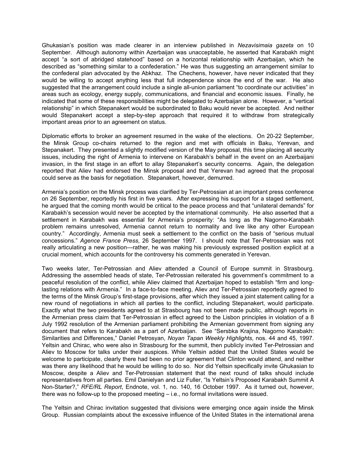Ghukasian's position was made clearer in an interview published in *Nezavisimaia gazeta* on 10 September. Although autonomy within Azerbaijan was unacceptable, he asserted that Karabakh might accept "a sort of abridged statehood" based on a horizontal relationship with Azerbaijan, which he described as "something similar to a confederation." He was thus suggesting an arrangement similar to the confederal plan advocated by the Abkhaz. The Chechens, however, have never indicated that they would be willing to accept anything less that full independence since the end of the war. He also suggested that the arrangement could include a single all-union parliament "to coordinate our activities" in areas such as ecology, energy supply, communications, and financial and economic issues. Finally, he indicated that some of these responsibilities might be delegated to Azerbaijan alone. However, a "vertical relationship" in which Stepanakert would be subordinated to Baku would never be accepted. And neither would Stepanakert accept a step-by-step approach that required it to withdraw from strategically important areas prior to an agreement on status.

Diplomatic efforts to broker an agreement resumed in the wake of the elections. On 20-22 September, the Minsk Group co-chairs returned to the region and met with officials in Baku, Yerevan, and Stepanakert. They presented a slightly modified version of the May proposal, this time placing all security issues, including the right of Armenia to intervene on Karabakh's behalf in the event on an Azerbaijani invasion, in the first stage in an effort to allay Stepanakert's security concerns. Again, the delegation reported that Aliev had endorsed the Minsk proposal and that Yerevan had agreed that the proposal could serve as the basis for negotiation. Stepanakert, however, demurred.

Armenia's position on the Minsk process was clarified by Ter-Petrossian at an important press conference on 26 September, reportedly his first in five years. After expressing his support for a staged settlement, he argued that the coming month would be critical to the peace process and that "unilateral demands" for Karabakh's secession would never be accepted by the international community. He also asserted that a settlement in Karabakh was essential for Armenia's prosperity: "As long as the Nagorno-Karabakh problem remains unresolved, Armenia cannot return to normality and live like any other European country." Accordingly, Armenia must seek a settlement to the conflict on the basis of "serious mutual concessions." *Agence France Press*, 26 September 1997. I should note that Ter-Petrossian was not really articulating a new position—rather, he was making his previously expressed position explicit at a crucial moment, which accounts for the controversy his comments generated in Yerevan.

Two weeks later, Ter-Petrossian and Aliev attended a Council of Europe summit in Strasbourg. Addressing the assembled heads of state, Ter-Petrossian reiterated his government's commitment to a peaceful resolution of the conflict, while Aliev claimed that Azerbaijan hoped to establish "firm and longlasting relations with Armenia." In a face-to-face meeting, Aliev and Ter-Petrossian reportedly agreed to the terms of the Minsk Group's first-stage provisions, after which they issued a joint statement calling for a new round of negotiations in which all parties to the conflict, including Stepanakert, would participate. Exactly what the two presidents agreed to at Strasbourg has not been made public, although reports in the Armenian press claim that Ter-Petrossian in effect agreed to the Lisbon principles in violation of a 8 July 1992 resolution of the Armenian parliament prohibiting the Armenian government from signing any document that refers to Karabakh as a part of Azerbaijan. See "Sersbka Krajina, Nagorno Karabakh: Similarities and Differences," Daniel Petrosyan, *Noyan Tapan Weekly Highlights*, nos. 44 and 45, 1997. Yeltsin and Chirac, who were also in Strasbourg for the summit, then publicly invited Ter-Petrossian and Aliev to Moscow for talks under their auspices. While Yeltsin added that the United States would be welcome to participate, clearly there had been no prior agreement that Clinton would attend, and neither was there any likelihood that he would be willing to do so. Nor did Yeltsin specifically invite Ghukasian to Moscow, despite a Aliev and Ter-Petrossian statement that the next round of talks should include representatives from all parties. Emil Danielyan and Liz Fuller, "Is Yeltsin's Proposed Karabakh Summit A Non-Starter?," *RFE/RL Report*, Endnote, vol. 1, no. 140, 16 October 1997. As it turned out, however, there was no follow-up to the proposed meeting – i.e., no formal invitations were issued.

The Yeltsin and Chirac invitation suggested that divisions were emerging once again inside the Minsk Group. Russian complaints about the excessive influence of the United States in the international arena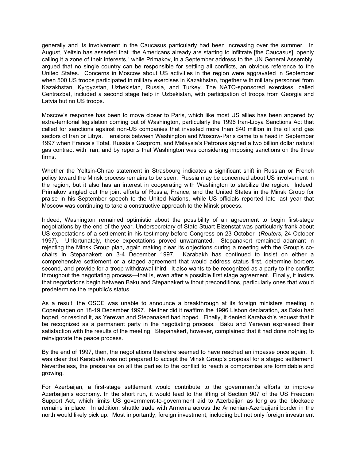generally and its involvement in the Caucasus particularly had been increasing over the summer. In August, Yeltsin has asserted that "the Americans already are starting to infiltrate [the Caucasus], openly calling it a zone of their interests," while Primakov, in a September address to the UN General Assembly, argued that no single country can be responsible for settling all conflicts, an obvious reference to the United States. Concerns in Moscow about US activities in the region were aggravated in September when 500 US troops participated in military exercises in Kazakhstan, together with military personnel from Kazakhstan, Kyrgyzstan, Uzbekistan, Russia, and Turkey. The NATO-sponsored exercises, called Centrazbat, included a second stage help in Uzbekistan, with participation of troops from Georgia and Latvia but no US troops.

Moscow's response has been to move closer to Paris, which like most US allies has been angered by extra-territorial legislation coming out of Washington, particularly the 1996 Iran-Libya Sanctions Act that called for sanctions against non-US companies that invested more than \$40 million in the oil and gas sectors of Iran or Libya. Tensions between Washington and Moscow-Paris came to a head in September 1997 when France's Total, Russia's Gazprom, and Malaysia's Petronas signed a two billion dollar natural gas contract with Iran, and by reports that Washington was considering imposing sanctions on the three firms.

Whether the Yeltsin-Chirac statement in Strasbourg indicates a significant shift in Russian or French policy toward the Minsk process remains to be seen. Russia may be concerned about US involvement in the region, but it also has an interest in cooperating with Washington to stabilize the region. Indeed, Primakov singled out the joint efforts of Russia, France, and the United States in the Minsk Group for praise in his September speech to the United Nations, while US officials reported late last year that Moscow was continuing to take a constructive approach to the Minsk process.

Indeed, Washington remained optimistic about the possibility of an agreement to begin first-stage negotiations by the end of the year. Undersecretary of State Stuart Eizenstat was particularly frank about US expectations of a settlement in his testimony before Congress on 23 October (*Reuters*, 24 October 1997). Unfortunately, these expectations proved unwarranted. Stepanakert remained adamant in rejecting the Minsk Group plan, again making clear its objections during a meeting with the Group's cochairs in Stepanakert on 3-4 December 1997. Karabakh has continued to insist on either a comprehensive settlement or a staged agreement that would address status first, determine borders second, and provide for a troop withdrawal third. It also wants to be recognized as a party to the conflict throughout the negotiating process—that is, even after a possible first stage agreement. Finally, it insists that negotiations begin between Baku and Stepanakert without preconditions, particularly ones that would predetermine the republic's status.

As a result, the OSCE was unable to announce a breakthrough at its foreign ministers meeting in Copenhagen on 18-19 December 1997. Neither did it reaffirm the 1996 Lisbon declaration, as Baku had hoped, or rescind it, as Yerevan and Stepanakert had hoped. Finally, it denied Karabakh's request that it be recognized as a permanent party in the negotiating process. Baku and Yerevan expressed their satisfaction with the results of the meeting. Stepanakert, however, complained that it had done nothing to reinvigorate the peace process.

By the end of 1997, then, the negotiations therefore seemed to have reached an impasse once again. It was clear that Karabakh was not prepared to accept the Minsk Group's proposal for a staged settlement. Nevertheless, the pressures on all the parties to the conflict to reach a compromise are formidable and growing.

For Azerbaijan, a first-stage settlement would contribute to the government's efforts to improve Azerbaijan's economy. In the short run, it would lead to the lifting of Section 907 of the US Freedom Support Act, which limits US government-to-government aid to Azerbaijan as long as the blockade remains in place. In addition, shuttle trade with Armenia across the Armenian-Azerbaijani border in the north would likely pick up. Most importantly, foreign investment, including but not only foreign investment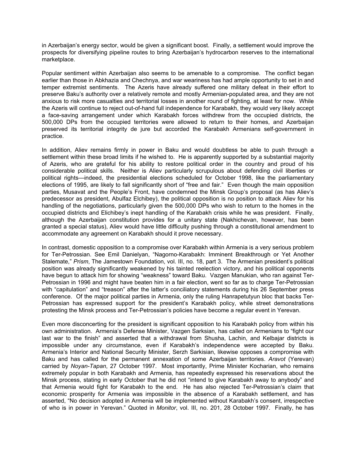in Azerbaijan's energy sector, would be given a significant boost. Finally, a settlement would improve the prospects for diversifying pipeline routes to bring Azerbaijan's hydrocarbon reserves to the international marketplace.

Popular sentiment within Azerbaijan also seems to be amenable to a compromise. The conflict began earlier than those in Abkhazia and Chechnya, and war weariness has had ample opportunity to set in and temper extremist sentiments. The Azeris have already suffered one military defeat in their effort to preserve Baku's authority over a relatively remote and mostly Armenian-populated area, and they are not anxious to risk more casualties and territorial losses in another round of fighting, at least for now. While the Azeris will continue to reject out-of-hand full independence for Karabakh, they would very likely accept a face-saving arrangement under which Karabakh forces withdrew from the occupied districts, the 500,000 DPs from the occupied territories were allowed to return to their homes, and Azerbaijan preserved its territorial integrity de jure but accorded the Karabakh Armenians self-government in practice.

In addition, Aliev remains firmly in power in Baku and would doubtless be able to push through a settlement within these broad limits if he wished to. He is apparently supported by a substantial majority of Azeris, who are grateful for his ability to restore political order in the country and proud of his considerable political skills. Neither is Aliev particularly scrupulous about defending civil liberties or political rights—indeed, the presidential elections scheduled for October 1998, like the parliamentary elections of 1995, are likely to fall significantly short of "free and fair." Even though the main opposition parties, Musavat and the People's Front, have condemned the Minsk Group's proposal (as has Aliev's predecessor as president, Abulfaz Elchibey), the political opposition is no position to attack Aliev for his handling of the negotiations, particularly given the 500,000 DPs who wish to return to the homes in the occupied districts and Elichibey's inept handling of the Karabakh crisis while he was president. Finally, although the Azerbaijan constitution provides for a unitary state (Nakhichevan, however, has been granted a special status), Aliev would have little difficulty pushing through a constitutional amendment to accommodate any agreement on Karabakh should it prove necessary.

In contrast, domestic opposition to a compromise over Karabakh within Armenia is a very serious problem for Ter-Petrossian. See Emil Danielyan, "Nagorno-Karabakh: Imminent Breakthrough or Yet Another Stalemate," *Prism*, The Jamestown Foundation, vol. III, no. 18, part 3. The Armenian president's political position was already significantly weakened by his tainted reelection victory, and his political opponents have begun to attack him for showing "weakness" toward Baku. Vazgen Manukian, who ran against Ter-Petrossian in 1996 and might have beaten him in a fair election, went so far as to charge Ter-Petrossian with "capitulation" and "treason" after the latter's conciliatory statements during his 26 September press conference. Of the major political parties in Armenia, only the ruling Hanrapetutyun bloc that backs Ter-Petrossian has expressed support for the president's Karabakh policy, while street demonstrations protesting the Minsk process and Ter-Petrossian's policies have become a regular event in Yerevan.

Even more disconcerting for the president is significant opposition to his Karabakh policy from within his own administration. Armenia's Defense Minister, Vazgen Sarksian, has called on Armenians to "fight our last war to the finish" and asserted that a withdrawal from Shusha, Lachin, and Kelbajar districts is impossible under any circumstance, even if Karabakh's independence were accepted by Baku. Armenia's Interior and National Security Minister, Serzh Sarkisian, likewise opposes a compromise with Baku and has called for the permanent annexation of some Azerbaijan territories. *Aravot* (Yerevan) carried by *Noyan-Tapan*, 27 October 1997. Most importantly, Prime Minister Kocharian, who remains extremely popular in both Karabakh and Armenia, has repeatedly expressed his reservations about the Minsk process, stating in early October that he did not "intend to give Karabakh away to anybody" and that Armenia would fight for Karabakh to the end. He has also rejected Ter-Petrossian's claim that economic prosperity for Armenia was impossible in the absence of a Karabakh settlement, and has asserted, "No decision adopted in Armenia will be implemented without Karabakh's consent, irrespective of who is in power in Yerevan." Quoted in *Monitor*, vol. III, no. 201, 28 October 1997. Finally, he has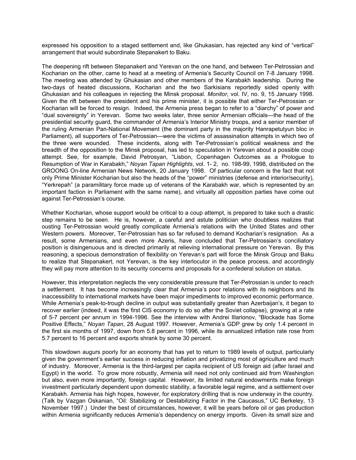expressed his opposition to a staged settlement and, like Ghukasian, has rejected any kind of "vertical" arrangement that would subordinate Stepanakert to Baku.

The deepening rift between Stepanakert and Yerevan on the one hand, and between Ter-Petrossian and Kocharian on the other, came to head at a meeting of Armenia's Security Council on 7-8 January 1998. The meeting was attended by Ghukasian and other members of the Karabakh leadership. During the two-days of heated discussions, Kocharian and the two Sarkisians reportedly sided openly with Ghukasian and his colleagues in rejecting the Minsk proposal. *Monitor*, vol. IV, no. 9, 15 January 1998. Given the rift between the president and his prime minister, it is possible that either Ter-Petrossian or Kocharian will be forced to resign. Indeed, the Armenia press began to refer to a "diarchy" of power and "dual sovereignty" in Yerevan. Some two weeks later, three senior Armenian officials—the head of the presidential security guard, the commander of Armenia's Interior Ministry troops, and a senior member of the ruling Armenian Pan-National Movement (the dominant party in the majority Hanrapetutyun bloc in Parliament), all supporters of Ter-Petrossian—were the victims of assassination attempts in which two of the three were wounded. These incidents, along with Ter-Petrossian's political weakness and the breadth of the opposition to the Minsk proposal, has led to speculation in Yerevan about a possible coup attempt. See, for example, David Petrosyan, "Lisbon, Copenhagen Outcomes as a Prologue to Resumption of War in Karabakh," *Noyan Tapan Highlights*, vol. 1- 2, no. 198-99, 1998, distributed on the GROONG On-line Armenian News Network, 20 January 1998. Of particular concern is the fact that not only Prime Minister Kocharian but also the heads of the "power" ministries (defense and interior/security), "Yerkrepah" (a paramilitary force made up of veterans of the Karabakh war, which is represented by an important faction in Parliament with the same name), and virtually all opposition parties have come out against Ter-Petrossian's course.

Whether Kocharian, whose support would be critical to a coup attempt, is prepared to take such a drastic step remains to be seen. He is, however, a careful and astute politician who doubtless realizes that ousting Ter-Petrossian would greatly complicate Armenia's relations with the United States and other Western powers. Moreover, Ter-Petrossian has so far refused to demand Kocharian's resignation. As a result, some Armenians, and even more Azeris, have concluded that Ter-Petrossian's conciliatory position is disingenuous and is directed primarily at relieving international pressure on Yerevan. By this reasoning, a specious demonstration of flexibility on Yerevan's part will force the Minsk Group and Baku to realize that Stepanakert, not Yerevan, is the key interlocutor in the peace process, and accordingly they will pay more attention to its security concerns and proposals for a confederal solution on status.

However, this interpretation neglects the very considerable pressure that Ter-Petrossian is under to reach a settlement. It has become increasingly clear that Armenia's poor relations with its neighbors and its inaccessibility to international markets have been major impediments to improved economic performance. While Armenia's peak-to-trough decline in output was substantially greater than Azerbaijan's, it began to recover earlier (indeed, it was the first CIS economy to do so after the Soviet collapse), growing at a rate of 5-7 percent per annum in 1994-1996. See the interview with Andrei Illarionov, "Blockade has Some Positive Effects," *Noyan Tapan*, 28 August 1997. However, Armenia's GDP grew by only 1.4 percent in the first six months of 1997, down from 5.8 percent in 1996, while its annualized inflation rate rose from 5.7 percent to 16 percent and exports shrank by some 30 percent.

This slowdown augurs poorly for an economy that has yet to return to 1989 levels of output, particularly given the government's earlier success in reducing inflation and privatizing most of agriculture and much of industry. Moreover, Armenia is the third-largest per capita recipient of US foreign aid (after Israel and Egypt) in the world. To grow more robustly, Armenia will need not only continued aid from Washington but also, even more importantly, foreign capital. However, its limited natural endowments make foreign investment particularly dependent upon domestic stability, a favorable legal regime, and a settlement over Karabakh. Armenia has high hopes, however, for exploratory drilling that is now underway in the country. (Talk by Vazgan Oskanian, "Oil: Stabilizing or Destabilizing Factor in the Caucasus," UC Berkeley, 13 November 1997.) Under the best of circumstances, however, it will be years before oil or gas production within Armenia significantly reduces Armenia's dependency on energy imports. Given its small size and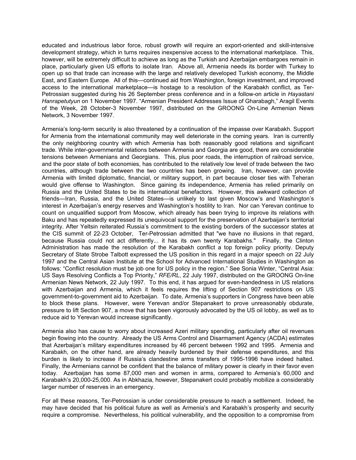educated and industrious labor force, robust growth will require an export-oriented and skill-intensive development strategy, which in turns requires inexpensive access to the international marketplace. This, however, will be extremely difficult to achieve as long as the Turkish and Azerbaijan embargoes remain in place, particularly given US efforts to isolate Iran. Above all, Armenia needs its border with Turkey to open up so that trade can increase with the large and relatively developed Turkish economy, the Middle East, and Eastern Europe. All of this—continued aid from Washington, foreign investment, and improved access to the international marketplace—is hostage to a resolution of the Karabakh conflict, as Ter-Petrossian suggested during his 26 September press conference and in a follow-on article in *Hayastani Hanrapetutyun* on 1 November 1997. "Armenian President Addresses Issue of Gharabagh," Aragil Events of the Week, 28 October-3 November 1997, distributed on the GROONG On-Line Armenian News Network, 3 November 1997.

Armenia's long-term security is also threatened by a continuation of the impasse over Karabakh. Support for Armenia from the international community may well deteriorate in the coming years. Iran is currently the only neighboring country with which Armenia has both reasonably good relations and significant trade. While inter-governmental relations between Armenia and Georgia are good, there are considerable tensions between Armenians and Georgians. This, plus poor roads, the interruption of railroad service, and the poor state of both economies, has contributed to the relatively low level of trade between the two countries, although trade between the two countries has been growing. Iran, however, can provide Armenia with limited diplomatic, financial, or military support, in part because closer ties with Teheran would give offense to Washington. Since gaining its independence, Armenia has relied primarily on Russia and the United States to be its international benefactors. However, this awkward collection of friends—Iran, Russia, and the United States—is unlikely to last given Moscow's and Washington's interest in Azerbaijan's energy reserves and Washington's hostility to Iran. Nor can Yerevan continue to count on unqualified support from Moscow, which already has been trying to improve its relations with Baku and has repeatedly expressed its unequivocal support for the preservation of Azerbaijan's territorial integrity. After Yeltsin reiterated Russia's commitment to the existing borders of the successor states at the CIS summit of 22-23 October, Ter-Petrossian admitted that "we have no illusions in that regard, because Russia could not act differently... it has its own twenty Karabakhs." Finally, the Clinton Administration has made the resolution of the Karabakh conflict a top foreign policy priority. Deputy Secretary of State Strobe Talbott expressed the US position in this regard in a major speech on 22 July 1997 and the Central Asian Institute at the School for Advanced International Studies in Washington as follows: "Conflict resolution must be job one for US policy in the region." See Sonia Winter, "Central Asia: US Says Resolving Conflicts a Top Priority," *RFE/RL*, 22 July 1997, distributed on the GROONG On-line Armenian News Network, 22 July 1997. To this end, it has argued for even-handedness in US relations with Azerbaijan and Armenia, which it feels requires the lifting of Section 907 restrictions on US government-to-government aid to Azerbaijan. To date, Armenia's supporters in Congress have been able to block these plans. However, were Yerevan and/or Stepanakert to prove unreasonably obdurate, pressure to lift Section 907, a move that has been vigorously advocated by the US oil lobby, as well as to reduce aid to Yerevan would increase significantly.

Armenia also has cause to worry about increased Azeri military spending, particularly after oil revenues begin flowing into the country. Already the US Arms Control and Disarmament Agency (ACDA) estimates that Azerbaijan's military expenditures increased by 46 percent between 1992 and 1995. Armenia and Karabakh, on the other hand, are already heavily burdened by their defense expenditures, and this burden is likely to increase if Russia's clandestine arms transfers of 1995-1996 have indeed halted. Finally, the Armenians cannot be confident that the balance of military power is clearly in their favor even today. Azerbaijan has some 87,000 men and women in arms, compared to Armenia's 60,000 and Karabakh's 20,000-25,000. As in Abkhazia, however, Stepanakert could probably mobilize a considerably larger number of reserves in an emergency.

For all these reasons, Ter-Petrossian is under considerable pressure to reach a settlement. Indeed, he may have decided that his political future as well as Armenia's and Karabakh's prosperity and security require a compromise. Nevertheless, his political vulnerability, and the opposition to a compromise from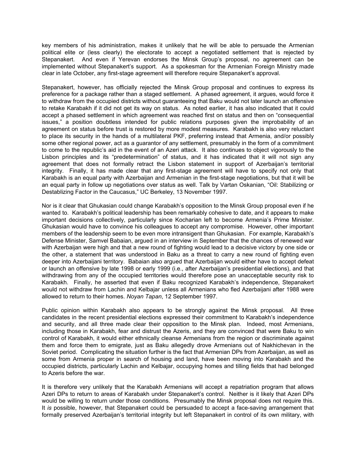key members of his administration, makes it unlikely that he will be able to persuade the Armenian political elite or (less clearly) the electorate to accept a negotiated settlement that is rejected by Stepanakert. And even if Yerevan endorses the Minsk Group's proposal, no agreement can be implemented without Stepanakert's support. As a spokesman for the Armenian Foreign Ministry made clear in late October, any first-stage agreement will therefore require Stepanakert's approval.

Stepanakert, however, has officially rejected the Minsk Group proposal and continues to express its preference for a package rather than a staged settlement. A phased agreement, it argues, would force it to withdraw from the occupied districts without guaranteeing that Baku would not later launch an offensive to retake Karabakh if it did not get its way on status. As noted earlier, it has also indicated that it could accept a phased settlement in which agreement was reached first on status and then on "consequential issues," a position doubtless intended for public relations purposes given the improbability of an agreement on status before trust is restored by more modest measures. Karabakh is also very reluctant to place its security in the hands of a multilateral PKF, preferring instead that Armenia, and/or possibly some other regional power, act as a guarantor of any settlement, presumably in the form of a commitment to come to the republic's aid in the event of an Azeri attack. It also continues to object vigorously to the Lisbon principles and its "predetermination" of status, and it has indicated that it will not sign any agreement that does not formally retract the Lisbon statement in support of Azerbaijan's territorial integrity. Finally, it has made clear that any first-stage agreement will have to specify not only that Karabakh is an equal party with Azerbaijan and Armenian in the first-stage negotiations, but that it will be an equal party in follow up negotiations over status as well. Talk by Vartan Oskanian, "Oil: Stabilizing or Destablizing Factor in the Caucasus," UC Berkeley, 13 November 1997.

Nor is it clear that Ghukasian could change Karabakh's opposition to the Minsk Group proposal even if he wanted to. Karabakh's political leadership has been remarkably cohesive to date, and it appears to make important decisions collectively, particularly since Kocharian left to become Armenia's Prime Minister. Ghukasian would have to convince his colleagues to accept any compromise. However, other important members of the leadership seem to be even more intransigent than Ghukasian. For example, Karabakh's Defense Minister, Samvel Babaian, argued in an interview in September that the chances of renewed war with Azerbaijan were high and that a new round of fighting would lead to a decisive victory by one side or the other, a statement that was understood in Baku as a threat to carry a new round of fighting even deeper into Azerbaijani territory. Babaian also argued that Azerbaijan would either have to accept defeat or launch an offensive by late 1998 or early 1999 (i.e., after Azerbaijan's presidential elections), and that withdrawing from any of the occupied territories would therefore pose an unacceptable security risk to Karabakh. Finally, he asserted that even if Baku recognized Karabakh's independence, Stepanakert would not withdraw from Lachin and Kelbajar unless all Armenians who fled Azerbaijani after 1988 were allowed to return to their homes. *Noyan Tapan*, 12 September 1997.

Public opinion within Karabakh also appears to be strongly against the Minsk proposal. All three candidates in the recent presidential elections expressed their commitment to Karabakh's independence and security, and all three made clear their opposition to the Minsk plan. Indeed, most Armenians, including those in Karabakh, fear and distrust the Azeris, and they are convinced that were Baku to win control of Karabakh, it would either ethnically cleanse Armenians from the region or discriminate against them and force them to emigrate, just as Baku allegedly drove Armenians out of Nakhichevan in the Soviet period. Complicating the situation further is the fact that Armenian DPs from Azerbaijan, as well as some from Armenia proper in search of housing and land, have been moving into Karabakh and the occupied districts, particularly Lachin and Kelbajar, occupying homes and tilling fields that had belonged to Azeris before the war.

It is therefore very unlikely that the Karabakh Armenians will accept a repatriation program that allows Azeri DPs to return to areas of Karabakh under Stepanakert's control. Neither is it likely that Azeri DPs would be willing to return under those conditions. Presumably the Minsk proposal does not require this. It *is* possible, however, that Stepanakert could be persuaded to accept a face-saving arrangement that formally preserved Azerbaijan's territorial integrity but left Stepanakert in control of its own military, with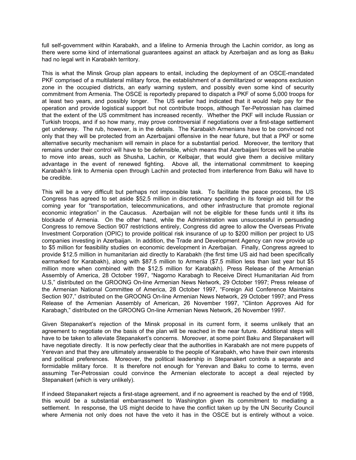full self-government within Karabakh, and a lifeline to Armenia through the Lachin corridor, as long as there were some kind of international guarantees against an attack by Azerbaijan and as long as Baku had no legal writ in Karabakh territory.

This is what the Minsk Group plan appears to entail, including the deployment of an OSCE-mandated PKF comprised of a multilateral military force, the establishment of a demilitarized or weapons exclusion zone in the occupied districts, an early warning system, and possibly even some kind of security commitment from Armenia. The OSCE is reportedly prepared to dispatch a PKF of some 5,000 troops for at least two years, and possibly longer. The US earlier had indicated that it would help pay for the operation and provide logistical support but not contribute troops, although Ter-Petrossian has claimed that the extent of the US commitment has increased recently. Whether the PKF will include Russian or Turkish troops, and if so how many, may prove controversial if negotiations over a first-stage settlement get underway. The rub, however, is in the details. The Karabakh Armenians have to be convinced not only that they will be protected from an Azerbaijani offensive in the near future, but that a PKF or some alternative security mechanism will remain in place for a substantial period. Moreover, the territory that remains under their control will have to be defensible, which means that Azerbaijani forces will be unable to move into areas, such as Shusha, Lachin, or Kelbajar, that would give them a decisive military advantage in the event of renewed fighting. Above all, the international commitment to keeping Karabakh's link to Armenia open through Lachin and protected from interference from Baku will have to be credible.

This will be a very difficult but perhaps not impossible task. To facilitate the peace process, the US Congress has agreed to set aside \$52.5 million in discretionary spending in its foreign aid bill for the coming year for "transportation, telecommunications, and other infrastructure that promote regional economic integration" in the Caucasus. Azerbaijan will not be eligible for these funds until it lifts its blockade of Armenia. On the other hand, while the Administration was unsuccessful in persuading Congress to remove Section 907 restrictions entirely, Congress did agree to allow the Overseas Private Investment Corporation (OPIC) to provide political risk insurance of up to \$200 million per project to US companies investing in Azerbaijan. In addition, the Trade and Development Agency can now provide up to \$5 million for feasibility studies on economic development in Azerbaijan. Finally, Congress agreed to provide \$12.5 million in humanitarian aid directly to Karabakh (the first time US aid had been specifically earmarked for Karabakh), along with \$87.5 million to Armenia (\$7.5 million less than last year but \$5 million more when combined with the \$12.5 million for Karabakh). Press Release of the Armenian Assembly of America, 28 October 1997, "Nagorno Karabagh to Receive Direct Humanitarian Aid from U.S," distributed on the GROONG On-line Armenian News Network, 29 October 1997; Press release of the Armenian National Committee of America, 28 October 1997, "Foreign Aid Conference Maintains Section 907," distributed on the GROONG On-line Armenian News Network, 29 October 1997; and Press Release of the Armenian Assembly of American, 26 November 1997, "Clinton Approves Aid for Karabagh," distributed on the GROONG On-line Armenian News Network, 26 November 1997.

Given Stepanakert's rejection of the Minsk proposal in its current form, it seems unlikely that an agreement to negotiate on the basis of the plan will be reached in the near future. Additional steps will have to be taken to alleviate Stepanakert's concerns. Moreover, at some point Baku and Stepanakert will have negotiate directly. It is now perfectly clear that the authorities in Karabakh are not mere puppets of Yerevan and that they are ultimately answerable to the people of Karabakh, who have their own interests and political preferences. Moreover, the political leadership in Stepanakert controls a separate and formidable military force. It is therefore not enough for Yerevan and Baku to come to terms, even assuming Ter-Petrossian could convince the Armenian electorate to accept a deal rejected by Stepanakert (which is very unlikely).

If indeed Stepanakert rejects a first-stage agreement, and if no agreement is reached by the end of 1998, this would be a substantial embarrassment to Washington given its commitment to mediating a settlement. In response, the US might decide to have the conflict taken up by the UN Security Council where Armenia not only does not have the veto it has in the OSCE but is entirely without a voice.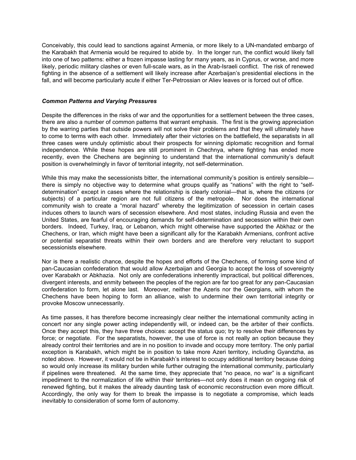Conceivably, this could lead to sanctions against Armenia, or more likely to a UN-mandated embargo of the Karabakh that Armenia would be required to abide by. In the longer run, the conflict would likely fall into one of two patterns: either a frozen impasse lasting for many years, as in Cyprus, or worse, and more likely, periodic military clashes or even full-scale wars, as in the Arab-Israeli conflict. The risk of renewed fighting in the absence of a settlement will likely increase after Azerbaijan's presidential elections in the fall, and will become particularly acute if either Ter-Petrossian or Aliev leaves or is forced out of office.

## *Common Patterns and Varying Pressures*

Despite the differences in the risks of war and the opportunities for a settlement between the three cases, there are also a number of common patterns that warrant emphasis. The first is the growing appreciation by the warring parties that outside powers will not solve their problems and that they will ultimately have to come to terms with each other. Immediately after their victories on the battlefield, the separatists in all three cases were unduly optimistic about their prospects for winning diplomatic recognition and formal independence. While these hopes are still prominent in Chechnya, where fighting has ended more recently, even the Chechens are beginning to understand that the international community's default position is overwhelmingly in favor of territorial integrity, not self-determination.

While this may make the secessionists bitter, the international community's position is entirely sensible there is simply no objective way to determine what groups qualify as "nations" with the right to "selfdetermination" except in cases where the relationship is clearly colonial—that is, where the citizens (or subjects) of a particular region are not full citizens of the metropole. Nor does the international community wish to create a "moral hazard" whereby the legitimization of secession in certain cases induces others to launch wars of secession elsewhere. And most states, including Russia and even the United States, are fearful of encouraging demands for self-determination and secession within their own borders. Indeed, Turkey, Iraq, or Lebanon, which might otherwise have supported the Abkhaz or the Chechens, or Iran, which might have been a significant ally for the Karabakh Armenians, confront active or potential separatist threats within their own borders and are therefore very reluctant to support secessionists elsewhere.

Nor is there a realistic chance, despite the hopes and efforts of the Chechens, of forming some kind of pan-Caucasian confederation that would allow Azerbaijan and Georgia to accept the loss of sovereignty over Karabakh or Abkhazia. Not only are confederations inherently impractical, but political differences, divergent interests, and enmity between the peoples of the region are far too great for any pan-Caucasian confederation to form, let alone last. Moreover, neither the Azeris nor the Georgians, with whom the Chechens have been hoping to form an alliance, wish to undermine their own territorial integrity or provoke Moscow unnecessarily.

As time passes, it has therefore become increasingly clear neither the international community acting in concert nor any single power acting independently will, or indeed can, be the arbiter of their conflicts. Once they accept this, they have three choices: accept the status quo; try to resolve their differences by force; or negotiate. For the separatists, however, the use of force is not really an option because they already control their territories and are in no position to invade and occupy more territory. The only partial exception is Karabakh, which might be in position to take more Azeri territory, including Gyandzha, as noted above. However, it would not be in Karabakh's interest to occupy additional territory because doing so would only increase its military burden while further outraging the international community, particularly if pipelines were threatened. At the same time, they appreciate that "no peace, no war" is a significant impediment to the normalization of life within their territories—not only does it mean on ongoing risk of renewed fighting, but it makes the already daunting task of economic reconstruction even more difficult. Accordingly, the only way for them to break the impasse is to negotiate a compromise, which leads inevitably to consideration of some form of autonomy.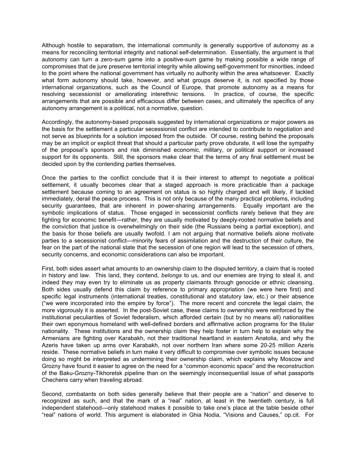Although hostile to separatism, the international community is generally supportive of autonomy as a means for reconciling territorial integrity and national self-determination. Essentially, the argument is that autonomy can turn a zero-sum game into a positive-sum game by making possible a wide range of compromises that de jure preserve territorial integrity while allowing self-government for minorities, indeed to the point where the national government has virtually no authority within the area whatsoever. Exactly what form autonomy should take, however, and what groups deserve it, is not specified by those international organizations, such as the Council of Europe, that promote autonomy as a means for resolving secessionist or ameliorating interethnic tensions. In practice, of course, the specific arrangements that are possible and efficacious differ between cases, and ultimately the specifics of any autonomy arrangement is a political, not a normative, question.

Accordingly, the autonomy-based proposals suggested by international organizations or major powers as the basis for the settlement a particular secessionist conflict are intended to contribute to negotiation and not serve as blueprints for a solution imposed from the outside. Of course, resting behind the proposals may be an implicit or explicit threat that should a particular party prove obdurate, it will lose the sympathy of the proposal's sponsors and risk diminished economic, military, or political support or increased support for its opponents. Still, the sponsors make clear that the terms of any final settlement must be decided upon by the contending parties themselves.

Once the parties to the conflict conclude that it is their interest to attempt to negotiate a political settlement, it usually becomes clear that a staged approach is more practicable than a package settlement because coming to an agreement on status is so highly charged and will likely, if tackled immediately, derail the peace process. This is not only because of the many practical problems, including security guarantees, that are inherent in power-sharing arrangements. Equally important are the symbolic implications of status. Those engaged in secessionist conflicts rarely believe that they are fighting for economic benefit—rather, they are usually motivated by deeply-rooted normative beliefs and the conviction that justice is overwhelmingly on their side (the Russians being a partial exception), and the basis for those beliefs are usually twofold. I am not arguing that normative beliefs alone motivate parties to a secessionist conflict—minority fears of assimilation and the destruction of their culture, the fear on the part of the national state that the secession of one region will lead to the secession of others, security concerns, and economic considerations can also be important.

First, both sides assert what amounts to an ownership claim to the disputed territory, a claim that is rooted in history and law. This land, they contend, *belongs* to us, and our enemies are trying to steal it, and indeed they may even try to eliminate us as property claimants through genocide or ethnic cleansing. Both sides usually defend this claim by reference to primary appropriation (we were here first) and specific legal instruments (international treaties, constitutional and statutory law, etc.) or their absence ("we were incorporated into the empire by force"). The more recent and concrete the legal claim, the more vigorously it is asserted. In the post-Soviet case, these claims to ownership were reinforced by the institutional peculiarities of Soviet federalism, which afforded certain (but by no means all) nationalities their own eponymous homeland with well-defined borders and affirmative action programs for the titular nationality. These institutions and the ownership claim they help foster in turn help to explain why the Armenians are fighting over Karabakh, not their traditional heartland in eastern Anatolia, and why the Azeris have taken up arms over Karabakh, not over northern Iran where some 20-25 million Azeris reside. These normative beliefs in turn make it very difficult to compromise over symbolic issues because doing so might be interpreted as undermining their ownership claim, which explains why Moscow and Grozny have found it easier to agree on the need for a "common economic space" and the reconstruction of the Baku-Grozny-Tikhoretsk pipeline than on the seemingly inconsequential issue of what passports Chechens carry when traveling abroad.

Second, combatants on both sides generally believe that their people are a "nation" and deserve to recognized as such, and that the mark of a "real" nation, at least in the twentieth century, is full independent statehood—only statehood makes it possible to take one's place at the table beside other "real" nations of world. This argument is elaborated in Ghia Nodia, "Visions and Causes," op.cit. For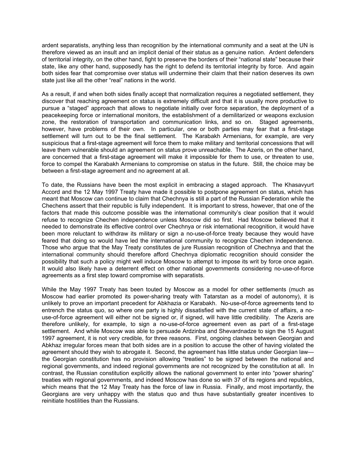ardent separatists, anything less than recognition by the international community and a seat at the UN is therefore viewed as an insult and an implicit denial of their status as a genuine nation. Ardent defenders of territorial integrity, on the other hand, fight to preserve the borders of their "national state" because their state, like any other hand, supposedly has the right to defend its territorial integrity by force. And again both sides fear that compromise over status will undermine their claim that their nation deserves its own state just like all the other "real" nations in the world.

As a result, if and when both sides finally accept that normalization requires a negotiated settlement, they discover that reaching agreement on status is extremely difficult and that it is usually more productive to pursue a "staged" approach that allows to negotiate initially over force separation, the deployment of a peacekeeping force or international monitors, the establishment of a demilitarized or weapons exclusion zone, the restoration of transportation and communication links, and so on. Staged agreements, however, have problems of their own. In particular, one or both parties may fear that a first-stage settlement will turn out to be the final settlement. The Karabakh Armenians, for example, are very suspicious that a first-stage agreement will force them to make military and territorial concessions that will leave them vulnerable should an agreement on status prove unreachable. The Azeris, on the other hand, are concerned that a first-stage agreement will make it impossible for them to use, or threaten to use, force to compel the Karabakh Armenians to compromise on status in the future. Still, the choice may be between a first-stage agreement and no agreement at all.

To date, the Russians have been the most explicit in embracing a staged approach. The Khasavyurt Accord and the 12 May 1997 Treaty have made it possible to postpone agreement on status, which has meant that Moscow can continue to claim that Chechnya is still a part of the Russian Federation while the Chechens assert that their republic is fully independent. It is important to stress, however, that one of the factors that made this outcome possible was the international community's clear position that it would refuse to recognize Chechen independence unless Moscow did so first. Had Moscow believed that it needed to demonstrate its effective control over Chechnya or risk international recognition, it would have been more reluctant to withdraw its military or sign a no-use-of-force treaty because they would have feared that doing so would have led the international community to recognize Chechen independence. Those who argue that the May Treaty constitutes de jure Russian recognition of Chechnya and that the international community should therefore afford Chechnya diplomatic recognition should consider the possibility that such a policy might well induce Moscow to attempt to impose its writ by force once again. It would also likely have a deterrent effect on other national governments considering no-use-of-force agreements as a first step toward compromise with separatists.

While the May 1997 Treaty has been touted by Moscow as a model for other settlements (much as Moscow had earlier promoted its power-sharing treaty with Tatarstan as a model of autonomy), it is unlikely to prove an important precedent for Abkhazia or Karabakh. No-use-of-force agreements tend to entrench the status quo, so where one party is highly dissatisfied with the current state of affairs, a nouse-of-force agreement will either not be signed or, if signed, will have little credibility. The Azeris are therefore unlikely, for example, to sign a no-use-of-force agreement even as part of a first-stage settlement. And while Moscow was able to persuade Ardzinba and Shevardnadze to sign the 15 August 1997 agreement, it is not very credible, for three reasons. First, ongoing clashes between Georgian and Abkhaz irregular forces mean that both sides are in a position to accuse the other of having violated the agreement should they wish to abrogate it. Second, the agreement has little status under Georgian law the Georgian constitution has no provision allowing "treaties" to be signed between the national and regional governments, and indeed regional governments are not recognized by the constitution at all. In contrast, the Russian constitution explicitly allows the national government to enter into "power sharing" treaties with regional governments, and indeed Moscow has done so with 37 of its regions and republics, which means that the 12 May Treaty has the force of law in Russia. Finally, and most importantly, the Georgians are very unhappy with the status quo and thus have substantially greater incentives to reinitiate hostilities than the Russians.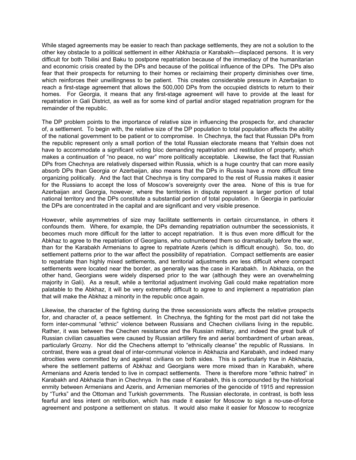While staged agreements may be easier to reach than package settlements, they are not a solution to the other key obstacle to a political settlement in either Abkhazia or Karabakh—displaced persons. It is very difficult for both Tbilisi and Baku to postpone repatriation because of the immediacy of the humanitarian and economic crisis created by the DPs and because of the political influence of the DPs. The DPs also fear that their prospects for returning to their homes or reclaiming their property diminishes over time, which reinforces their unwillingness to be patient. This creates considerable pressure in Azerbaijan to reach a first-stage agreement that allows the 500,000 DPs from the occupied districts to return to their homes. For Georgia, it means that any first-stage agreement will have to provide at the least for repatriation in Gali District, as well as for some kind of partial and/or staged repatriation program for the remainder of the republic.

The DP problem points to the importance of relative size in influencing the prospects for, and character of, a settlement. To begin with, the relative size of the DP population to total population affects the ability of the national government to be patient or to compromise. In Chechnya, the fact that Russian DPs from the republic represent only a small portion of the total Russian electorate means that Yeltsin does not have to accommodate a significant voting bloc demanding repatriation and restitution of property, which makes a continuation of "no peace, no war" more politically acceptable. Likewise, the fact that Russian DPs from Chechnya are relatively dispersed within Russia, which is a huge country that can more easily absorb DPs than Georgia or Azerbaijan, also means that the DPs in Russia have a more difficult time organizing politically. And the fact that Chechnya is tiny compared to the rest of Russia makes it easier for the Russians to accept the loss of Moscow's sovereignty over the area. None of this is true for Azerbaijan and Georgia, however, where the territories in dispute represent a larger portion of total national territory and the DPs constitute a substantial portion of total population. In Georgia in particular the DPs are concentrated in the capital and are significant and very visible presence.

However, while asymmetries of size may facilitate settlements in certain circumstance, in others it confounds them. Where, for example, the DPs demanding repatriation outnumber the secessionists, it becomes much more difficult for the latter to accept repatriation. It is thus even more difficult for the Abkhaz to agree to the repatriation of Georgians, who outnumbered them so dramatically before the war, than for the Karabakh Armenians to agree to repatriate Azeris (which is difficult enough). So, too, do settlement patterns prior to the war affect the possibility of repatriation. Compact settlements are easier to repatriate than highly mixed settlements, and territorial adjustments are less difficult where compact settlements were located near the border, as generally was the case in Karabakh. In Abkhazia, on the other hand, Georgians were widely dispersed prior to the war (although they were an overwhelming majority in Gali). As a result, while a territorial adjustment involving Gali could make repatriation more palatable to the Abkhaz, it will be very extremely difficult to agree to and implement a repatriation plan that will make the Abkhaz a minority in the republic once again.

Likewise, the character of the fighting during the three secessionists wars affects the relative prospects for, and character of, a peace settlement. In Chechnya, the fighting for the most part did not take the form inter-communal "ethnic" violence between Russians and Chechen civilians living in the republic. Rather, it was between the Chechen resistance and the Russian military, and indeed the great bulk of Russian civilian casualties were caused by Russian artillery fire and aerial bombardment of urban areas, particularly Grozny. Nor did the Chechens attempt to "ethnically cleanse" the republic of Russians. In contrast, there was a great deal of inter-communal violence in Abkhazia and Karabakh, and indeed many atrocities were committed by and against civilians on both sides. This is particularly true in Abkhazia, where the settlement patterns of Abkhaz and Georgians were more mixed than in Karabakh, where Armenians and Azeris tended to live in compact settlements. There is therefore more "ethnic hatred" in Karabakh and Abkhazia than in Chechnya. In the case of Karabakh, this is compounded by the historical enmity between Armenians and Azeris, and Armenian memories of the genocide of 1915 and repression by "Turks" and the Ottoman and Turkish governments. The Russian electorate, in contrast, is both less fearful and less intent on retribution, which has made it easier for Moscow to sign a no-use-of-force agreement and postpone a settlement on status. It would also make it easier for Moscow to recognize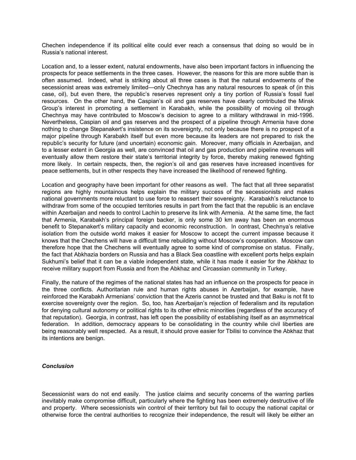Chechen independence if its political elite could ever reach a consensus that doing so would be in Russia's national interest.

Location and, to a lesser extent, natural endowments, have also been important factors in influencing the prospects for peace settlements in the three cases. However, the reasons for this are more subtle than is often assumed. Indeed, what is striking about all three cases is that the natural endowments of the secessionist areas was extremely limited—only Chechnya has any natural resources to speak of (in this case, oil), but even there, the republic's reserves represent only a tiny portion of Russia's fossil fuel resources. On the other hand, the Caspian's oil and gas reserves have clearly contributed the Minsk Group's interest in promoting a settlement in Karabakh, while the possibility of moving oil through Chechnya may have contributed to Moscow's decision to agree to a military withdrawal in mid-1996. Nevertheless, Caspian oil and gas reserves and the prospect of a pipeline through Armenia have done nothing to change Stepanakert's insistence on its sovereignty, not only because there is no prospect of a major pipeline through Karabakh itself but even more because its leaders are not prepared to risk the republic's security for future (and uncertain) economic gain. Moreover, many officials in Azerbaijan, and to a lesser extent in Georgia as well, are convinced that oil and gas production and pipeline revenues will eventually allow them restore their state's territorial integrity by force, thereby making renewed fighting more likely. In certain respects, then, the region's oil and gas reserves have increased incentives for peace settlements, but in other respects they have increased the likelihood of renewed fighting.

Location and geography have been important for other reasons as well. The fact that all three separatist regions are highly mountainous helps explain the military success of the secessionists and makes national governments more reluctant to use force to reassert their sovereignty. Karabakh's reluctance to withdraw from some of the occupied territories results in part from the fact that the republic is an enclave within Azerbaijan and needs to control Lachin to preserve its link with Armenia. At the same time, the fact that Armenia, Karabakh's principal foreign backer, is only some 30 km away has been an enormous benefit to Stepanakert's military capacity and economic reconstruction. In contrast, Chechnya's relative isolation from the outside world makes it easier for Moscow to accept the current impasse because it knows that the Chechens will have a difficult time rebuilding without Moscow's cooperation. Moscow can therefore hope that the Chechens will eventually agree to some kind of compromise on status. Finally, the fact that Abkhazia borders on Russia and has a Black Sea coastline with excellent ports helps explain Sukhumi's belief that it can be a viable independent state, while it has made it easier for the Abkhaz to receive military support from Russia and from the Abkhaz and Circassian community in Turkey.

Finally, the nature of the regimes of the national states has had an influence on the prospects for peace in the three conflicts. Authoritarian rule and human rights abuses in Azerbaijan, for example, have reinforced the Karabakh Armenians' conviction that the Azeris cannot be trusted and that Baku is not fit to exercise sovereignty over the region. So, too, has Azerbaijan's rejection of federalism and its reputation for denying cultural autonomy or political rights to its other ethnic minorities (regardless of the accuracy of that reputation). Georgia, in contrast, has left open the possibility of establishing itself as an asymmetrical federation. In addition, democracy appears to be consolidating in the country while civil liberties are being reasonably well respected. As a result, it should prove easier for Tbilisi to convince the Abkhaz that its intentions are benign.

## *Conclusion*

Secessionist wars do not end easily. The justice claims and security concerns of the warring parties inevitably make compromise difficult, particularly where the fighting has been extremely destructive of life and property. Where secessionists win control of their territory but fail to occupy the national capital or otherwise force the central authorities to recognize their independence, the result will likely be either an